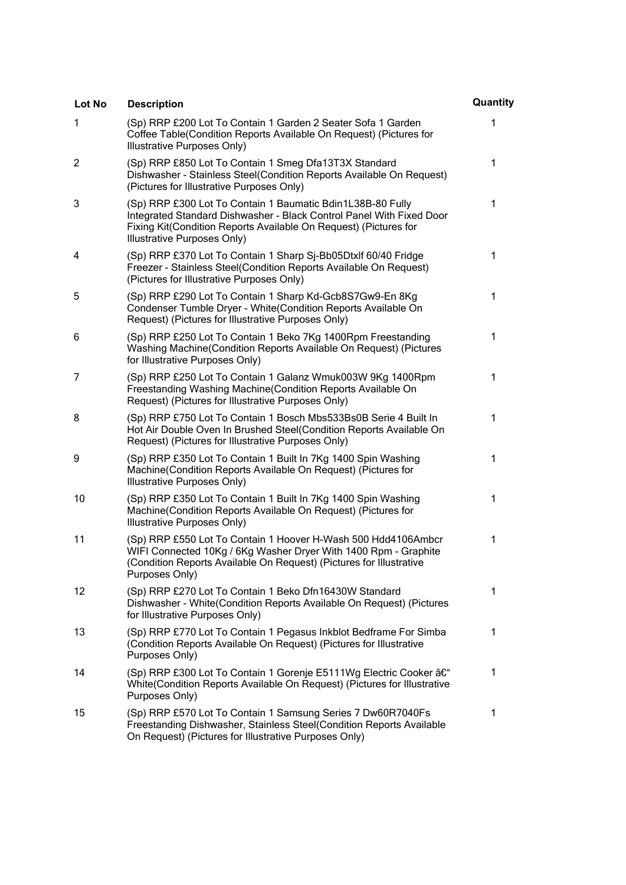| Lot No       | <b>Description</b>                                                                                                                                                                                                                    | Quantity |
|--------------|---------------------------------------------------------------------------------------------------------------------------------------------------------------------------------------------------------------------------------------|----------|
| $\mathbf{1}$ | (Sp) RRP £200 Lot To Contain 1 Garden 2 Seater Sofa 1 Garden<br>Coffee Table(Condition Reports Available On Request) (Pictures for<br>Illustrative Purposes Only)                                                                     | 1        |
| 2            | (Sp) RRP £850 Lot To Contain 1 Smeg Dfa13T3X Standard<br>Dishwasher - Stainless Steel(Condition Reports Available On Request)<br>(Pictures for Illustrative Purposes Only)                                                            | 1        |
| 3            | (Sp) RRP £300 Lot To Contain 1 Baumatic Bdin1L38B-80 Fully<br>Integrated Standard Dishwasher - Black Control Panel With Fixed Door<br>Fixing Kit(Condition Reports Available On Request) (Pictures for<br>Illustrative Purposes Only) | 1        |
| 4            | (Sp) RRP £370 Lot To Contain 1 Sharp Sj-Bb05Dtxlf 60/40 Fridge<br>Freezer - Stainless Steel(Condition Reports Available On Request)<br>(Pictures for Illustrative Purposes Only)                                                      | 1        |
| 5            | (Sp) RRP £290 Lot To Contain 1 Sharp Kd-Gcb8S7Gw9-En 8Kg<br>Condenser Tumble Dryer - White(Condition Reports Available On<br>Request) (Pictures for Illustrative Purposes Only)                                                       | 1        |
| 6            | (Sp) RRP £250 Lot To Contain 1 Beko 7Kg 1400Rpm Freestanding<br>Washing Machine (Condition Reports Available On Request) (Pictures<br>for Illustrative Purposes Only)                                                                 | 1        |
| 7            | (Sp) RRP £250 Lot To Contain 1 Galanz Wmuk003W 9Kg 1400Rpm<br>Freestanding Washing Machine (Condition Reports Available On<br>Request) (Pictures for Illustrative Purposes Only)                                                      | 1        |
| 8            | (Sp) RRP £750 Lot To Contain 1 Bosch Mbs533Bs0B Serie 4 Built In<br>Hot Air Double Oven In Brushed Steel(Condition Reports Available On<br>Request) (Pictures for Illustrative Purposes Only)                                         | 1        |
| 9            | (Sp) RRP £350 Lot To Contain 1 Built In 7Kg 1400 Spin Washing<br>Machine(Condition Reports Available On Request) (Pictures for<br>Illustrative Purposes Only)                                                                         | 1        |
| 10           | (Sp) RRP £350 Lot To Contain 1 Built In 7Kg 1400 Spin Washing<br>Machine(Condition Reports Available On Request) (Pictures for<br>Illustrative Purposes Only)                                                                         | 1        |
| 11           | (Sp) RRP £550 Lot To Contain 1 Hoover H-Wash 500 Hdd4106Ambcr<br>WIFI Connected 10Kg / 6Kg Washer Dryer With 1400 Rpm - Graphite<br>(Condition Reports Available On Request) (Pictures for Illustrative<br>Purposes Only)             | 1        |
| 12           | (Sp) RRP £270 Lot To Contain 1 Beko Dfn16430W Standard<br>Dishwasher - White(Condition Reports Available On Request) (Pictures<br>for Illustrative Purposes Only)                                                                     | 1        |
| 13           | (Sp) RRP £770 Lot To Contain 1 Pegasus Inkblot Bedframe For Simba<br>(Condition Reports Available On Request) (Pictures for Illustrative<br>Purposes Only)                                                                            | 1        |
| 14           | (Sp) RRP £300 Lot To Contain 1 Gorenje E5111Wg Electric Cooker –<br>White(Condition Reports Available On Request) (Pictures for Illustrative<br>Purposes Only)                                                                        | 1        |
| 15           | (Sp) RRP £570 Lot To Contain 1 Samsung Series 7 Dw60R7040Fs<br>Freestanding Dishwasher, Stainless Steel(Condition Reports Available<br>On Request) (Pictures for Illustrative Purposes Only)                                          | 1        |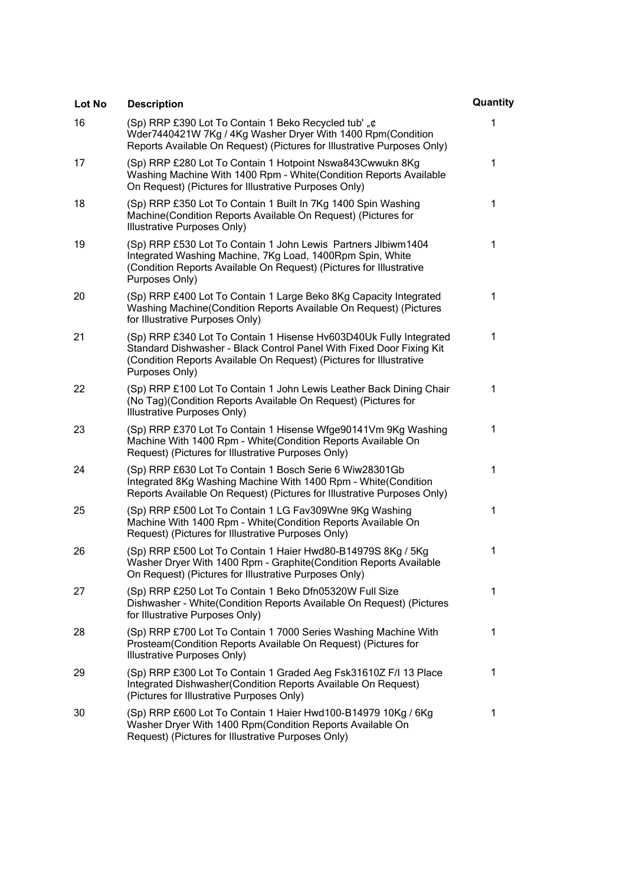| Lot No | <b>Description</b>                                                                                                                                                                                                                  | Quantity |
|--------|-------------------------------------------------------------------------------------------------------------------------------------------------------------------------------------------------------------------------------------|----------|
| 16     | (Sp) RRP £390 Lot To Contain 1 Beko Recycled tub' "¢<br>Wder7440421W 7Kg / 4Kg Washer Dryer With 1400 Rpm(Condition<br>Reports Available On Request) (Pictures for Illustrative Purposes Only)                                      | 1        |
| 17     | (Sp) RRP £280 Lot To Contain 1 Hotpoint Nswa843Cwwukn 8Kg<br>Washing Machine With 1400 Rpm - White (Condition Reports Available<br>On Request) (Pictures for Illustrative Purposes Only)                                            | 1        |
| 18     | (Sp) RRP £350 Lot To Contain 1 Built In 7Kg 1400 Spin Washing<br>Machine(Condition Reports Available On Request) (Pictures for<br>Illustrative Purposes Only)                                                                       | 1        |
| 19     | (Sp) RRP £530 Lot To Contain 1 John Lewis Partners Jlbiwm1404<br>Integrated Washing Machine, 7Kg Load, 1400Rpm Spin, White<br>(Condition Reports Available On Request) (Pictures for Illustrative<br>Purposes Only)                 | 1        |
| 20     | (Sp) RRP £400 Lot To Contain 1 Large Beko 8Kg Capacity Integrated<br>Washing Machine (Condition Reports Available On Request) (Pictures<br>for Illustrative Purposes Only)                                                          | 1        |
| 21     | (Sp) RRP £340 Lot To Contain 1 Hisense Hv603D40Uk Fully Integrated<br>Standard Dishwasher - Black Control Panel With Fixed Door Fixing Kit<br>(Condition Reports Available On Request) (Pictures for Illustrative<br>Purposes Only) | 1        |
| 22     | (Sp) RRP £100 Lot To Contain 1 John Lewis Leather Back Dining Chair<br>(No Tag)(Condition Reports Available On Request) (Pictures for<br>Illustrative Purposes Only)                                                                | 1        |
| 23     | (Sp) RRP £370 Lot To Contain 1 Hisense Wfge90141Vm 9Kg Washing<br>Machine With 1400 Rpm - White (Condition Reports Available On<br>Request) (Pictures for Illustrative Purposes Only)                                               | 1        |
| 24     | (Sp) RRP £630 Lot To Contain 1 Bosch Serie 6 Wiw28301Gb<br>Integrated 8Kg Washing Machine With 1400 Rpm - White(Condition<br>Reports Available On Request) (Pictures for Illustrative Purposes Only)                                | 1        |
| 25     | (Sp) RRP £500 Lot To Contain 1 LG Fav309Wne 9Kg Washing<br>Machine With 1400 Rpm - White(Condition Reports Available On<br>Request) (Pictures for Illustrative Purposes Only)                                                       | 1        |
| 26     | (Sp) RRP £500 Lot To Contain 1 Haier Hwd80-B14979S 8Kg / 5Kg<br>Washer Dryer With 1400 Rpm - Graphite (Condition Reports Available<br>On Request) (Pictures for Illustrative Purposes Only)                                         | 1        |
| 27     | (Sp) RRP £250 Lot To Contain 1 Beko Dfn05320W Full Size<br>Dishwasher - White(Condition Reports Available On Request) (Pictures<br>for Illustrative Purposes Only)                                                                  | 1        |
| 28     | (Sp) RRP £700 Lot To Contain 1 7000 Series Washing Machine With<br>Prosteam(Condition Reports Available On Request) (Pictures for<br>Illustrative Purposes Only)                                                                    | 1        |
| 29     | (Sp) RRP £300 Lot To Contain 1 Graded Aeg Fsk31610Z F/I 13 Place<br>Integrated Dishwasher (Condition Reports Available On Request)<br>(Pictures for Illustrative Purposes Only)                                                     | 1        |
| 30     | (Sp) RRP £600 Lot To Contain 1 Haier Hwd100-B14979 10Kg / 6Kg<br>Washer Dryer With 1400 Rpm (Condition Reports Available On<br>Request) (Pictures for Illustrative Purposes Only)                                                   | 1        |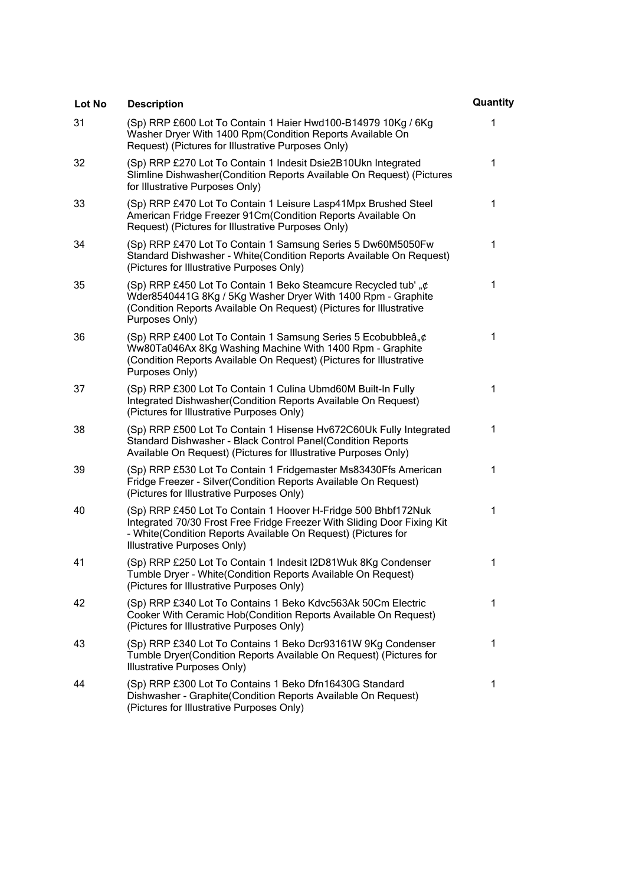| Lot No | <b>Description</b>                                                                                                                                                                                                                       | Quantity |
|--------|------------------------------------------------------------------------------------------------------------------------------------------------------------------------------------------------------------------------------------------|----------|
| 31     | (Sp) RRP £600 Lot To Contain 1 Haier Hwd100-B14979 10Kg / 6Kg<br>Washer Dryer With 1400 Rpm(Condition Reports Available On<br>Request) (Pictures for Illustrative Purposes Only)                                                         | 1        |
| 32     | (Sp) RRP £270 Lot To Contain 1 Indesit Dsie2B10Ukn Integrated<br>Slimline Dishwasher (Condition Reports Available On Request) (Pictures<br>for Illustrative Purposes Only)                                                               | 1        |
| 33     | (Sp) RRP £470 Lot To Contain 1 Leisure Lasp41Mpx Brushed Steel<br>American Fridge Freezer 91Cm(Condition Reports Available On<br>Request) (Pictures for Illustrative Purposes Only)                                                      | 1        |
| 34     | (Sp) RRP £470 Lot To Contain 1 Samsung Series 5 Dw60M5050Fw<br>Standard Dishwasher - White (Condition Reports Available On Request)<br>(Pictures for Illustrative Purposes Only)                                                         | 1        |
| 35     | (Sp) RRP £450 Lot To Contain 1 Beko Steamcure Recycled tub', ¢<br>Wder8540441G 8Kg / 5Kg Washer Dryer With 1400 Rpm - Graphite<br>(Condition Reports Available On Request) (Pictures for Illustrative<br>Purposes Only)                  | 1        |
| 36     | (Sp) RRP £400 Lot To Contain 1 Samsung Series 5 Ecobubbleâ, ¢<br>Ww80Ta046Ax 8Kg Washing Machine With 1400 Rpm - Graphite<br>(Condition Reports Available On Request) (Pictures for Illustrative<br>Purposes Only)                       | 1        |
| 37     | (Sp) RRP £300 Lot To Contain 1 Culina Ubmd60M Built-In Fully<br>Integrated Dishwasher (Condition Reports Available On Request)<br>(Pictures for Illustrative Purposes Only)                                                              | 1        |
| 38     | (Sp) RRP £500 Lot To Contain 1 Hisense Hv672C60Uk Fully Integrated<br>Standard Dishwasher - Black Control Panel(Condition Reports<br>Available On Request) (Pictures for Illustrative Purposes Only)                                     | 1        |
| 39     | (Sp) RRP £530 Lot To Contain 1 Fridgemaster Ms83430Ffs American<br>Fridge Freezer - Silver(Condition Reports Available On Request)<br>(Pictures for Illustrative Purposes Only)                                                          | 1        |
| 40     | (Sp) RRP £450 Lot To Contain 1 Hoover H-Fridge 500 Bhbf172Nuk<br>Integrated 70/30 Frost Free Fridge Freezer With Sliding Door Fixing Kit<br>- White(Condition Reports Available On Request) (Pictures for<br>Illustrative Purposes Only) | 1        |
| 41     | (Sp) RRP £250 Lot To Contain 1 Indesit I2D81Wuk 8Kg Condenser<br>Tumble Dryer - White(Condition Reports Available On Request)<br>(Pictures for Illustrative Purposes Only)                                                               | 1        |
| 42     | (Sp) RRP £340 Lot To Contains 1 Beko Kdvc563Ak 50Cm Electric<br>Cooker With Ceramic Hob(Condition Reports Available On Request)<br>(Pictures for Illustrative Purposes Only)                                                             | 1        |
| 43     | (Sp) RRP £340 Lot To Contains 1 Beko Dcr93161W 9Kg Condenser<br>Tumble Dryer(Condition Reports Available On Request) (Pictures for<br>Illustrative Purposes Only)                                                                        | 1        |
| 44     | (Sp) RRP £300 Lot To Contains 1 Beko Dfn16430G Standard<br>Dishwasher - Graphite(Condition Reports Available On Request)<br>(Pictures for Illustrative Purposes Only)                                                                    | 1        |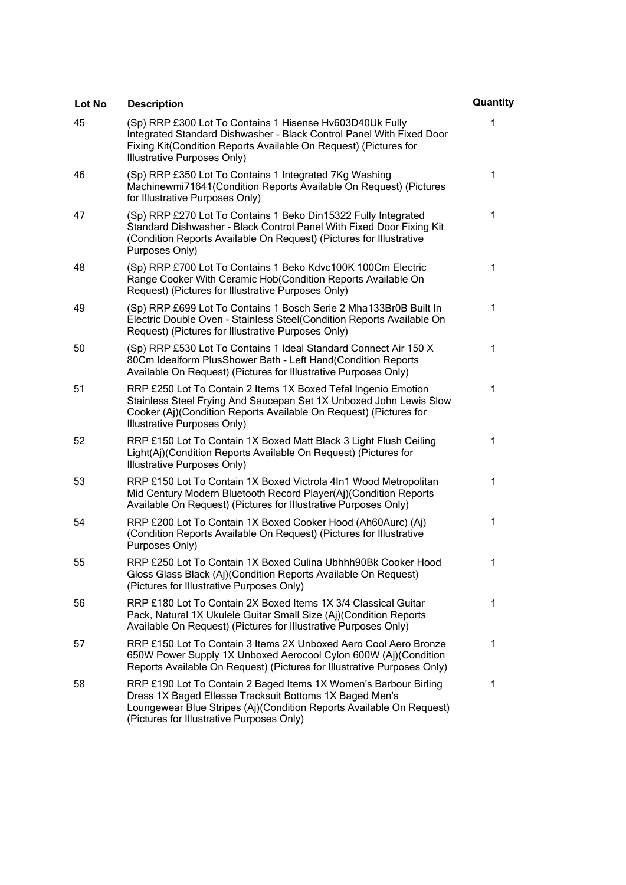| Lot No | <b>Description</b>                                                                                                                                                                                                                               | Quantity |
|--------|--------------------------------------------------------------------------------------------------------------------------------------------------------------------------------------------------------------------------------------------------|----------|
| 45     | (Sp) RRP £300 Lot To Contains 1 Hisense Hv603D40Uk Fully<br>Integrated Standard Dishwasher - Black Control Panel With Fixed Door<br>Fixing Kit(Condition Reports Available On Request) (Pictures for<br>Illustrative Purposes Only)              | 1        |
| 46     | (Sp) RRP £350 Lot To Contains 1 Integrated 7Kg Washing<br>Machinewmi71641(Condition Reports Available On Request) (Pictures<br>for Illustrative Purposes Only)                                                                                   | 1        |
| 47     | (Sp) RRP £270 Lot To Contains 1 Beko Din15322 Fully Integrated<br>Standard Dishwasher - Black Control Panel With Fixed Door Fixing Kit<br>(Condition Reports Available On Request) (Pictures for Illustrative<br>Purposes Only)                  | 1        |
| 48     | (Sp) RRP £700 Lot To Contains 1 Beko Kdvc100K 100Cm Electric<br>Range Cooker With Ceramic Hob(Condition Reports Available On<br>Request) (Pictures for Illustrative Purposes Only)                                                               | 1        |
| 49     | (Sp) RRP £699 Lot To Contains 1 Bosch Serie 2 Mha133Br0B Built In<br>Electric Double Oven - Stainless Steel(Condition Reports Available On<br>Request) (Pictures for Illustrative Purposes Only)                                                 | 1        |
| 50     | (Sp) RRP £530 Lot To Contains 1 Ideal Standard Connect Air 150 X<br>80Cm Idealform PlusShower Bath - Left Hand(Condition Reports<br>Available On Request) (Pictures for Illustrative Purposes Only)                                              | 1        |
| 51     | RRP £250 Lot To Contain 2 Items 1X Boxed Tefal Ingenio Emotion<br>Stainless Steel Frying And Saucepan Set 1X Unboxed John Lewis Slow<br>Cooker (Aj)(Condition Reports Available On Request) (Pictures for<br>Illustrative Purposes Only)         | 1        |
| 52     | RRP £150 Lot To Contain 1X Boxed Matt Black 3 Light Flush Ceiling<br>Light(Aj)(Condition Reports Available On Request) (Pictures for<br>Illustrative Purposes Only)                                                                              | 1        |
| 53     | RRP £150 Lot To Contain 1X Boxed Victrola 4In1 Wood Metropolitan<br>Mid Century Modern Bluetooth Record Player(Aj)(Condition Reports<br>Available On Request) (Pictures for Illustrative Purposes Only)                                          | 1        |
| 54     | RRP £200 Lot To Contain 1X Boxed Cooker Hood (Ah60Aurc) (Aj)<br>(Condition Reports Available On Request) (Pictures for Illustrative<br>Purposes Only)                                                                                            | 1        |
| 55     | RRP £250 Lot To Contain 1X Boxed Culina Ubhhh90Bk Cooker Hood<br>Gloss Glass Black (Aj)(Condition Reports Available On Request)<br>(Pictures for Illustrative Purposes Only)                                                                     | 1        |
| 56     | RRP £180 Lot To Contain 2X Boxed Items 1X 3/4 Classical Guitar<br>Pack, Natural 1X Ukulele Guitar Small Size (Aj)(Condition Reports<br>Available On Request) (Pictures for Illustrative Purposes Only)                                           | 1        |
| 57     | RRP £150 Lot To Contain 3 Items 2X Unboxed Aero Cool Aero Bronze<br>650W Power Supply 1X Unboxed Aerocool Cylon 600W (Aj)(Condition<br>Reports Available On Request) (Pictures for Illustrative Purposes Only)                                   | 1        |
| 58     | RRP £190 Lot To Contain 2 Baged Items 1X Women's Barbour Birling<br>Dress 1X Baged Ellesse Tracksuit Bottoms 1X Baged Men's<br>Loungewear Blue Stripes (Aj)(Condition Reports Available On Request)<br>(Pictures for Illustrative Purposes Only) | 1        |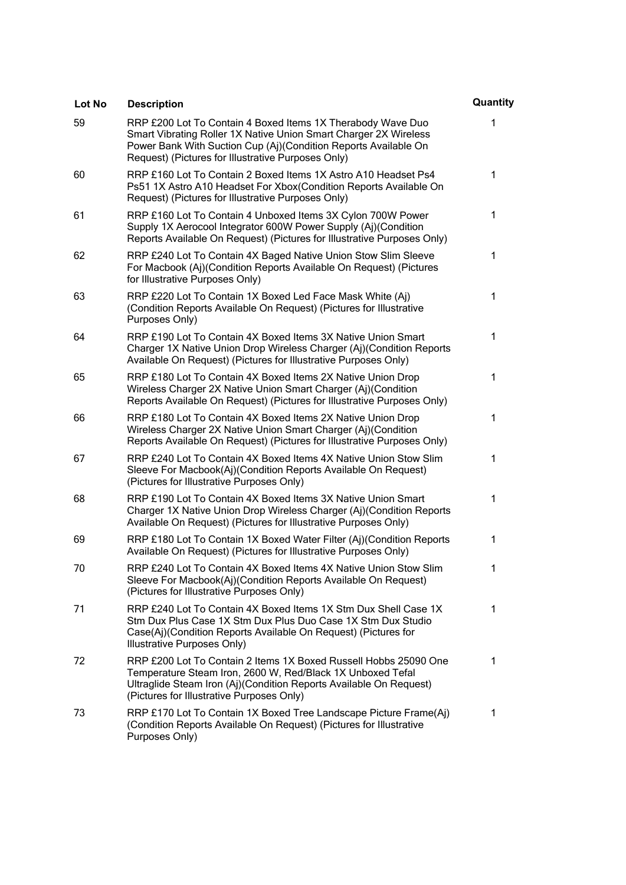| Lot No | <b>Description</b>                                                                                                                                                                                                                                       | Quantity |
|--------|----------------------------------------------------------------------------------------------------------------------------------------------------------------------------------------------------------------------------------------------------------|----------|
| 59     | RRP £200 Lot To Contain 4 Boxed Items 1X Therabody Wave Duo<br>Smart Vibrating Roller 1X Native Union Smart Charger 2X Wireless<br>Power Bank With Suction Cup (Aj)(Condition Reports Available On<br>Request) (Pictures for Illustrative Purposes Only) | 1        |
| 60     | RRP £160 Lot To Contain 2 Boxed Items 1X Astro A10 Headset Ps4<br>Ps51 1X Astro A10 Headset For Xbox(Condition Reports Available On<br>Request) (Pictures for Illustrative Purposes Only)                                                                | 1        |
| 61     | RRP £160 Lot To Contain 4 Unboxed Items 3X Cylon 700W Power<br>Supply 1X Aerocool Integrator 600W Power Supply (Aj)(Condition<br>Reports Available On Request) (Pictures for Illustrative Purposes Only)                                                 | 1        |
| 62     | RRP £240 Lot To Contain 4X Baged Native Union Stow Slim Sleeve<br>For Macbook (Aj)(Condition Reports Available On Request) (Pictures<br>for Illustrative Purposes Only)                                                                                  | 1        |
| 63     | RRP £220 Lot To Contain 1X Boxed Led Face Mask White (Aj)<br>(Condition Reports Available On Request) (Pictures for Illustrative<br>Purposes Only)                                                                                                       | 1        |
| 64     | RRP £190 Lot To Contain 4X Boxed Items 3X Native Union Smart<br>Charger 1X Native Union Drop Wireless Charger (Aj)(Condition Reports<br>Available On Request) (Pictures for Illustrative Purposes Only)                                                  | 1        |
| 65     | RRP £180 Lot To Contain 4X Boxed Items 2X Native Union Drop<br>Wireless Charger 2X Native Union Smart Charger (Aj)(Condition<br>Reports Available On Request) (Pictures for Illustrative Purposes Only)                                                  | 1        |
| 66     | RRP £180 Lot To Contain 4X Boxed Items 2X Native Union Drop<br>Wireless Charger 2X Native Union Smart Charger (Aj)(Condition<br>Reports Available On Request) (Pictures for Illustrative Purposes Only)                                                  | 1        |
| 67     | RRP £240 Lot To Contain 4X Boxed Items 4X Native Union Stow Slim<br>Sleeve For Macbook(Aj)(Condition Reports Available On Request)<br>(Pictures for Illustrative Purposes Only)                                                                          | 1        |
| 68     | RRP £190 Lot To Contain 4X Boxed Items 3X Native Union Smart<br>Charger 1X Native Union Drop Wireless Charger (Aj)(Condition Reports<br>Available On Request) (Pictures for Illustrative Purposes Only)                                                  | 1        |
| 69     | RRP £180 Lot To Contain 1X Boxed Water Filter (Aj)(Condition Reports<br>Available On Request) (Pictures for Illustrative Purposes Only)                                                                                                                  | 1        |
| 70     | RRP £240 Lot To Contain 4X Boxed Items 4X Native Union Stow Slim<br>Sleeve For Macbook(Aj)(Condition Reports Available On Request)<br>(Pictures for Illustrative Purposes Only)                                                                          | 1        |
| 71     | RRP £240 Lot To Contain 4X Boxed Items 1X Stm Dux Shell Case 1X<br>Stm Dux Plus Case 1X Stm Dux Plus Duo Case 1X Stm Dux Studio<br>Case(Aj)(Condition Reports Available On Request) (Pictures for<br>Illustrative Purposes Only)                         | 1        |
| 72     | RRP £200 Lot To Contain 2 Items 1X Boxed Russell Hobbs 25090 One<br>Temperature Steam Iron, 2600 W, Red/Black 1X Unboxed Tefal<br>Ultraglide Steam Iron (Aj)(Condition Reports Available On Request)<br>(Pictures for Illustrative Purposes Only)        | 1        |
| 73     | RRP £170 Lot To Contain 1X Boxed Tree Landscape Picture Frame(Aj)<br>(Condition Reports Available On Request) (Pictures for Illustrative<br>Purposes Only)                                                                                               | 1        |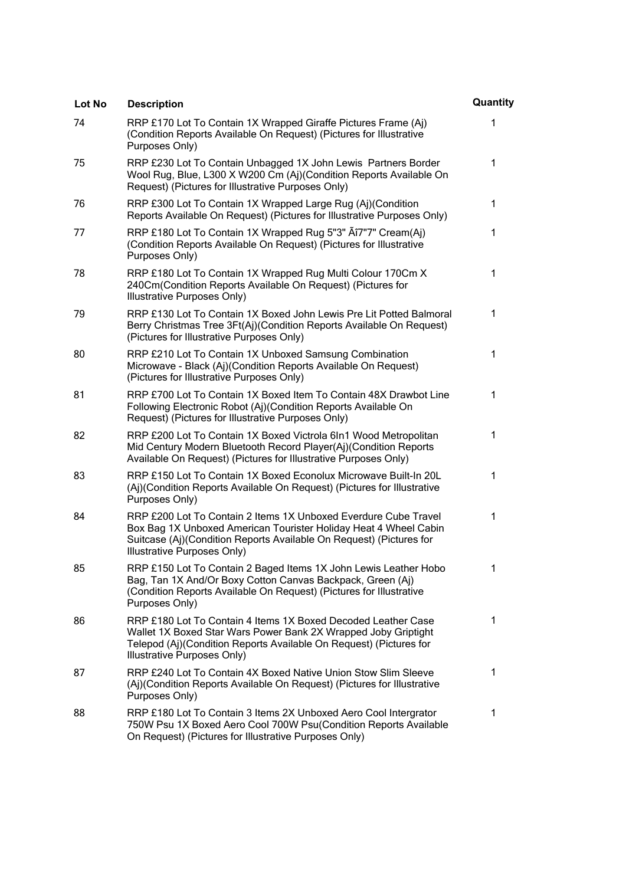| <b>Lot No</b> | <b>Description</b>                                                                                                                                                                                                                        | Quantity |
|---------------|-------------------------------------------------------------------------------------------------------------------------------------------------------------------------------------------------------------------------------------------|----------|
| 74            | RRP £170 Lot To Contain 1X Wrapped Giraffe Pictures Frame (Aj)<br>(Condition Reports Available On Request) (Pictures for Illustrative<br>Purposes Only)                                                                                   | 1        |
| 75            | RRP £230 Lot To Contain Unbagged 1X John Lewis Partners Border<br>Wool Rug, Blue, L300 X W200 Cm (Aj)(Condition Reports Available On<br>Request) (Pictures for Illustrative Purposes Only)                                                | 1        |
| 76            | RRP £300 Lot To Contain 1X Wrapped Large Rug (Aj)(Condition<br>Reports Available On Request) (Pictures for Illustrative Purposes Only)                                                                                                    | 1        |
| 77            | RRP £180 Lot To Contain 1X Wrapped Rug 5"3" A 17"7" Cream(Aj)<br>(Condition Reports Available On Request) (Pictures for Illustrative<br>Purposes Only)                                                                                    | 1        |
| 78            | RRP £180 Lot To Contain 1X Wrapped Rug Multi Colour 170Cm X<br>240Cm(Condition Reports Available On Request) (Pictures for<br>Illustrative Purposes Only)                                                                                 | 1        |
| 79            | RRP £130 Lot To Contain 1X Boxed John Lewis Pre Lit Potted Balmoral<br>Berry Christmas Tree 3Ft(Aj)(Condition Reports Available On Request)<br>(Pictures for Illustrative Purposes Only)                                                  | 1        |
| 80            | RRP £210 Lot To Contain 1X Unboxed Samsung Combination<br>Microwave - Black (Aj)(Condition Reports Available On Request)<br>(Pictures for Illustrative Purposes Only)                                                                     | 1        |
| 81            | RRP £700 Lot To Contain 1X Boxed Item To Contain 48X Drawbot Line<br>Following Electronic Robot (Aj)(Condition Reports Available On<br>Request) (Pictures for Illustrative Purposes Only)                                                 | 1        |
| 82            | RRP £200 Lot To Contain 1X Boxed Victrola 6In1 Wood Metropolitan<br>Mid Century Modern Bluetooth Record Player(Aj)(Condition Reports<br>Available On Request) (Pictures for Illustrative Purposes Only)                                   | 1        |
| 83            | RRP £150 Lot To Contain 1X Boxed Econolux Microwave Built-In 20L<br>(Aj)(Condition Reports Available On Request) (Pictures for Illustrative<br>Purposes Only)                                                                             | 1        |
| 84            | RRP £200 Lot To Contain 2 Items 1X Unboxed Everdure Cube Travel<br>Box Bag 1X Unboxed American Tourister Holiday Heat 4 Wheel Cabin<br>Suitcase (Aj)(Condition Reports Available On Request) (Pictures for<br>Illustrative Purposes Only) | 1        |
| 85            | RRP £150 Lot To Contain 2 Baged Items 1X John Lewis Leather Hobo<br>Bag, Tan 1X And/Or Boxy Cotton Canvas Backpack, Green (Aj)<br>(Condition Reports Available On Request) (Pictures for Illustrative<br>Purposes Only)                   | 1        |
| 86            | RRP £180 Lot To Contain 4 Items 1X Boxed Decoded Leather Case<br>Wallet 1X Boxed Star Wars Power Bank 2X Wrapped Joby Griptight<br>Telepod (Aj)(Condition Reports Available On Request) (Pictures for<br>Illustrative Purposes Only)      | 1        |
| 87            | RRP £240 Lot To Contain 4X Boxed Native Union Stow Slim Sleeve<br>(Aj)(Condition Reports Available On Request) (Pictures for Illustrative<br>Purposes Only)                                                                               | 1        |
| 88            | RRP £180 Lot To Contain 3 Items 2X Unboxed Aero Cool Intergrator<br>750W Psu 1X Boxed Aero Cool 700W Psu(Condition Reports Available<br>On Request) (Pictures for Illustrative Purposes Only)                                             | 1        |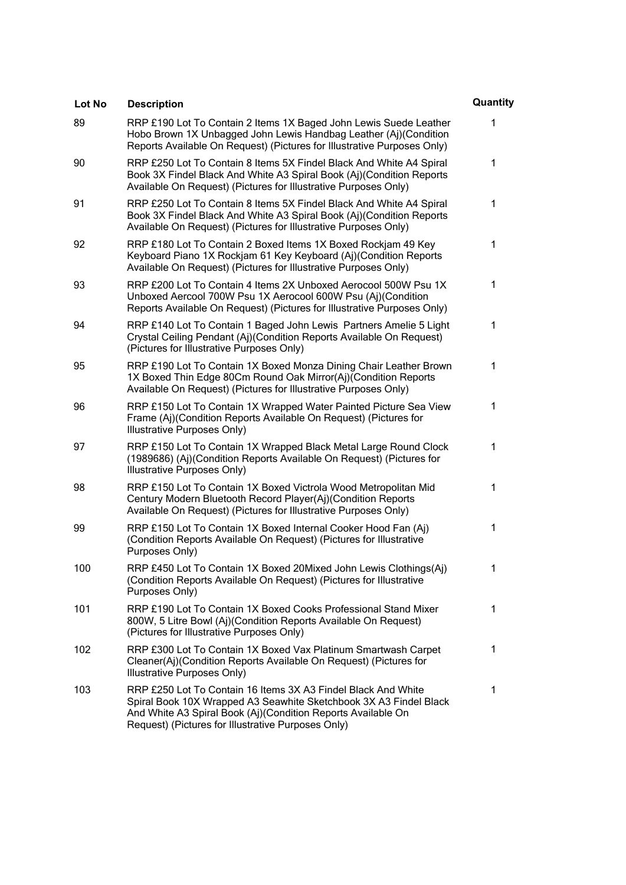| Lot No | <b>Description</b>                                                                                                                                                                                                                                       | Quantity     |
|--------|----------------------------------------------------------------------------------------------------------------------------------------------------------------------------------------------------------------------------------------------------------|--------------|
| 89     | RRP £190 Lot To Contain 2 Items 1X Baged John Lewis Suede Leather<br>Hobo Brown 1X Unbagged John Lewis Handbag Leather (Aj)(Condition<br>Reports Available On Request) (Pictures for Illustrative Purposes Only)                                         | 1            |
| 90     | RRP £250 Lot To Contain 8 Items 5X Findel Black And White A4 Spiral<br>Book 3X Findel Black And White A3 Spiral Book (Aj)(Condition Reports<br>Available On Request) (Pictures for Illustrative Purposes Only)                                           | 1            |
| 91     | RRP £250 Lot To Contain 8 Items 5X Findel Black And White A4 Spiral<br>Book 3X Findel Black And White A3 Spiral Book (Aj)(Condition Reports<br>Available On Request) (Pictures for Illustrative Purposes Only)                                           | 1            |
| 92     | RRP £180 Lot To Contain 2 Boxed Items 1X Boxed Rockjam 49 Key<br>Keyboard Piano 1X Rockjam 61 Key Keyboard (Aj)(Condition Reports<br>Available On Request) (Pictures for Illustrative Purposes Only)                                                     | 1            |
| 93     | RRP £200 Lot To Contain 4 Items 2X Unboxed Aerocool 500W Psu 1X<br>Unboxed Aercool 700W Psu 1X Aerocool 600W Psu (Aj)(Condition<br>Reports Available On Request) (Pictures for Illustrative Purposes Only)                                               | 1            |
| 94     | RRP £140 Lot To Contain 1 Baged John Lewis Partners Amelie 5 Light<br>Crystal Ceiling Pendant (Aj)(Condition Reports Available On Request)<br>(Pictures for Illustrative Purposes Only)                                                                  | 1            |
| 95     | RRP £190 Lot To Contain 1X Boxed Monza Dining Chair Leather Brown<br>1X Boxed Thin Edge 80Cm Round Oak Mirror(Aj)(Condition Reports<br>Available On Request) (Pictures for Illustrative Purposes Only)                                                   | 1            |
| 96     | RRP £150 Lot To Contain 1X Wrapped Water Painted Picture Sea View<br>Frame (Aj)(Condition Reports Available On Request) (Pictures for<br>Illustrative Purposes Only)                                                                                     | 1            |
| 97     | RRP £150 Lot To Contain 1X Wrapped Black Metal Large Round Clock<br>(1989686) (Aj)(Condition Reports Available On Request) (Pictures for<br>Illustrative Purposes Only)                                                                                  | 1            |
| 98     | RRP £150 Lot To Contain 1X Boxed Victrola Wood Metropolitan Mid<br>Century Modern Bluetooth Record Player(Aj)(Condition Reports<br>Available On Request) (Pictures for Illustrative Purposes Only)                                                       | 1            |
| 99     | RRP £150 Lot To Contain 1X Boxed Internal Cooker Hood Fan (Aj)<br>(Condition Reports Available On Request) (Pictures for Illustrative<br>Purposes Only)                                                                                                  | $\mathbf{1}$ |
| 100    | RRP £450 Lot To Contain 1X Boxed 20Mixed John Lewis Clothings(Aj)<br>(Condition Reports Available On Request) (Pictures for Illustrative<br>Purposes Only)                                                                                               | 1            |
| 101    | RRP £190 Lot To Contain 1X Boxed Cooks Professional Stand Mixer<br>800W, 5 Litre Bowl (Aj)(Condition Reports Available On Request)<br>(Pictures for Illustrative Purposes Only)                                                                          | 1            |
| 102    | RRP £300 Lot To Contain 1X Boxed Vax Platinum Smartwash Carpet<br>Cleaner(Aj)(Condition Reports Available On Request) (Pictures for<br>Illustrative Purposes Only)                                                                                       | 1            |
| 103    | RRP £250 Lot To Contain 16 Items 3X A3 Findel Black And White<br>Spiral Book 10X Wrapped A3 Seawhite Sketchbook 3X A3 Findel Black<br>And White A3 Spiral Book (Aj)(Condition Reports Available On<br>Request) (Pictures for Illustrative Purposes Only) | 1            |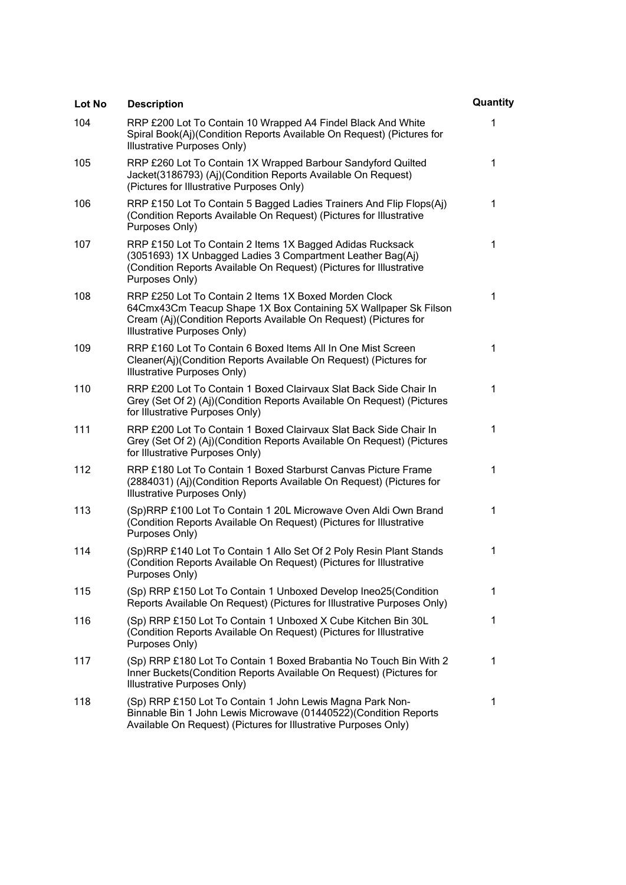| Lot No | <b>Description</b>                                                                                                                                                                                                          | Quantity |
|--------|-----------------------------------------------------------------------------------------------------------------------------------------------------------------------------------------------------------------------------|----------|
| 104    | RRP £200 Lot To Contain 10 Wrapped A4 Findel Black And White<br>Spiral Book(Aj)(Condition Reports Available On Request) (Pictures for<br>Illustrative Purposes Only)                                                        | 1        |
| 105    | RRP £260 Lot To Contain 1X Wrapped Barbour Sandyford Quilted<br>Jacket(3186793) (Aj)(Condition Reports Available On Request)<br>(Pictures for Illustrative Purposes Only)                                                   | 1        |
| 106    | RRP £150 Lot To Contain 5 Bagged Ladies Trainers And Flip Flops(Aj)<br>(Condition Reports Available On Request) (Pictures for Illustrative<br>Purposes Only)                                                                | 1        |
| 107    | RRP £150 Lot To Contain 2 Items 1X Bagged Adidas Rucksack<br>(3051693) 1X Unbagged Ladies 3 Compartment Leather Bag(Aj)<br>(Condition Reports Available On Request) (Pictures for Illustrative<br>Purposes Only)            | 1        |
| 108    | RRP £250 Lot To Contain 2 Items 1X Boxed Morden Clock<br>64Cmx43Cm Teacup Shape 1X Box Containing 5X Wallpaper Sk Filson<br>Cream (Aj)(Condition Reports Available On Request) (Pictures for<br>Illustrative Purposes Only) | 1        |
| 109    | RRP £160 Lot To Contain 6 Boxed Items All In One Mist Screen<br>Cleaner(Aj)(Condition Reports Available On Request) (Pictures for<br>Illustrative Purposes Only)                                                            | 1        |
| 110    | RRP £200 Lot To Contain 1 Boxed Clairvaux Slat Back Side Chair In<br>Grey (Set Of 2) (Aj)(Condition Reports Available On Request) (Pictures<br>for Illustrative Purposes Only)                                              | 1        |
| 111    | RRP £200 Lot To Contain 1 Boxed Clairvaux Slat Back Side Chair In<br>Grey (Set Of 2) (Aj)(Condition Reports Available On Request) (Pictures<br>for Illustrative Purposes Only)                                              | 1        |
| 112    | RRP £180 Lot To Contain 1 Boxed Starburst Canvas Picture Frame<br>(2884031) (Aj)(Condition Reports Available On Request) (Pictures for<br>Illustrative Purposes Only)                                                       | 1        |
| 113    | (Sp)RRP £100 Lot To Contain 1 20L Microwave Oven Aldi Own Brand<br>(Condition Reports Available On Request) (Pictures for Illustrative<br>Purposes Only)                                                                    | 1        |
| 114    | (Sp)RRP £140 Lot To Contain 1 Allo Set Of 2 Poly Resin Plant Stands<br>(Condition Reports Available On Request) (Pictures for Illustrative<br>Purposes Only)                                                                | 1        |
| 115    | (Sp) RRP £150 Lot To Contain 1 Unboxed Develop Ineo25(Condition<br>Reports Available On Request) (Pictures for Illustrative Purposes Only)                                                                                  | 1        |
| 116    | (Sp) RRP £150 Lot To Contain 1 Unboxed X Cube Kitchen Bin 30L<br>(Condition Reports Available On Request) (Pictures for Illustrative<br>Purposes Only)                                                                      | 1        |
| 117    | (Sp) RRP £180 Lot To Contain 1 Boxed Brabantia No Touch Bin With 2<br>Inner Buckets (Condition Reports Available On Request) (Pictures for<br>Illustrative Purposes Only)                                                   | 1        |
| 118    | (Sp) RRP £150 Lot To Contain 1 John Lewis Magna Park Non-<br>Binnable Bin 1 John Lewis Microwave (01440522)(Condition Reports<br>Available On Request) (Pictures for Illustrative Purposes Only)                            | 1        |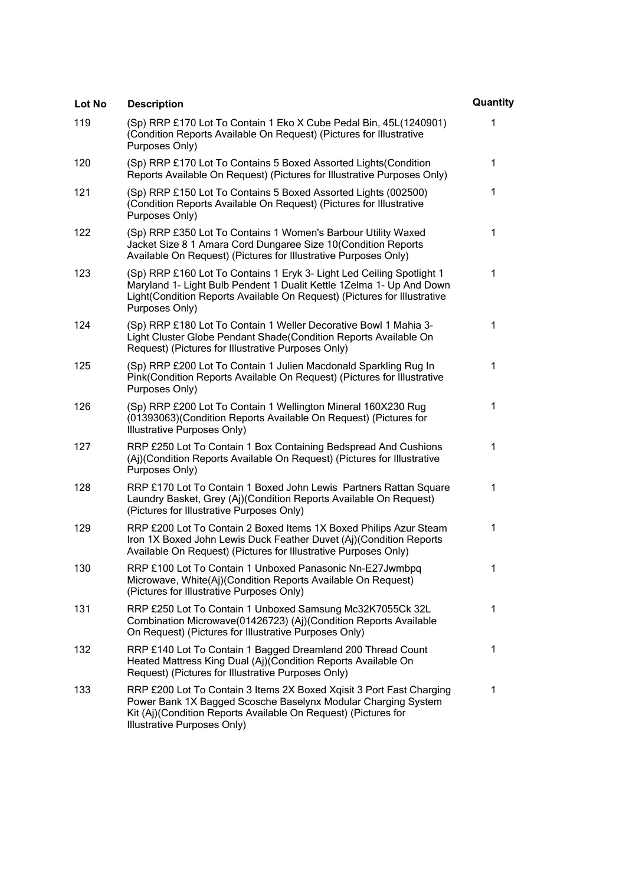| Lot No | <b>Description</b>                                                                                                                                                                                                                          | Quantity |
|--------|---------------------------------------------------------------------------------------------------------------------------------------------------------------------------------------------------------------------------------------------|----------|
| 119    | (Sp) RRP £170 Lot To Contain 1 Eko X Cube Pedal Bin, 45L(1240901)<br>(Condition Reports Available On Request) (Pictures for Illustrative<br>Purposes Only)                                                                                  | 1        |
| 120    | (Sp) RRP £170 Lot To Contains 5 Boxed Assorted Lights (Condition<br>Reports Available On Request) (Pictures for Illustrative Purposes Only)                                                                                                 | 1        |
| 121    | (Sp) RRP £150 Lot To Contains 5 Boxed Assorted Lights (002500)<br>(Condition Reports Available On Request) (Pictures for Illustrative<br>Purposes Only)                                                                                     | 1        |
| 122    | (Sp) RRP £350 Lot To Contains 1 Women's Barbour Utility Waxed<br>Jacket Size 8 1 Amara Cord Dungaree Size 10(Condition Reports<br>Available On Request) (Pictures for Illustrative Purposes Only)                                           | 1        |
| 123    | (Sp) RRP £160 Lot To Contains 1 Eryk 3- Light Led Ceiling Spotlight 1<br>Maryland 1- Light Bulb Pendent 1 Dualit Kettle 1Zelma 1- Up And Down<br>Light(Condition Reports Available On Request) (Pictures for Illustrative<br>Purposes Only) | 1        |
| 124    | (Sp) RRP £180 Lot To Contain 1 Weller Decorative Bowl 1 Mahia 3-<br>Light Cluster Globe Pendant Shade(Condition Reports Available On<br>Request) (Pictures for Illustrative Purposes Only)                                                  | 1        |
| 125    | (Sp) RRP £200 Lot To Contain 1 Julien Macdonald Sparkling Rug In<br>Pink(Condition Reports Available On Request) (Pictures for Illustrative<br>Purposes Only)                                                                               | 1        |
| 126    | (Sp) RRP £200 Lot To Contain 1 Wellington Mineral 160X230 Rug<br>(01393063) (Condition Reports Available On Request) (Pictures for<br>Illustrative Purposes Only)                                                                           | 1        |
| 127    | RRP £250 Lot To Contain 1 Box Containing Bedspread And Cushions<br>(Aj)(Condition Reports Available On Request) (Pictures for Illustrative<br>Purposes Only)                                                                                | 1        |
| 128    | RRP £170 Lot To Contain 1 Boxed John Lewis Partners Rattan Square<br>Laundry Basket, Grey (Aj)(Condition Reports Available On Request)<br>(Pictures for Illustrative Purposes Only)                                                         | 1        |
| 129    | RRP £200 Lot To Contain 2 Boxed Items 1X Boxed Philips Azur Steam<br>Iron 1X Boxed John Lewis Duck Feather Duvet (Aj)(Condition Reports<br>Available On Request) (Pictures for Illustrative Purposes Only)                                  | 1        |
| 130    | RRP £100 Lot To Contain 1 Unboxed Panasonic Nn-E27Jwmbpq<br>Microwave, White(Aj)(Condition Reports Available On Request)<br>(Pictures for Illustrative Purposes Only)                                                                       | 1        |
| 131    | RRP £250 Lot To Contain 1 Unboxed Samsung Mc32K7055Ck 32L<br>Combination Microwave(01426723) (Aj)(Condition Reports Available<br>On Request) (Pictures for Illustrative Purposes Only)                                                      | 1        |
| 132    | RRP £140 Lot To Contain 1 Bagged Dreamland 200 Thread Count<br>Heated Mattress King Dual (Aj)(Condition Reports Available On<br>Request) (Pictures for Illustrative Purposes Only)                                                          | 1        |
| 133    | RRP £200 Lot To Contain 3 Items 2X Boxed Xqisit 3 Port Fast Charging<br>Power Bank 1X Bagged Scosche Baselynx Modular Charging System<br>Kit (Aj)(Condition Reports Available On Request) (Pictures for<br>Illustrative Purposes Only)      | 1        |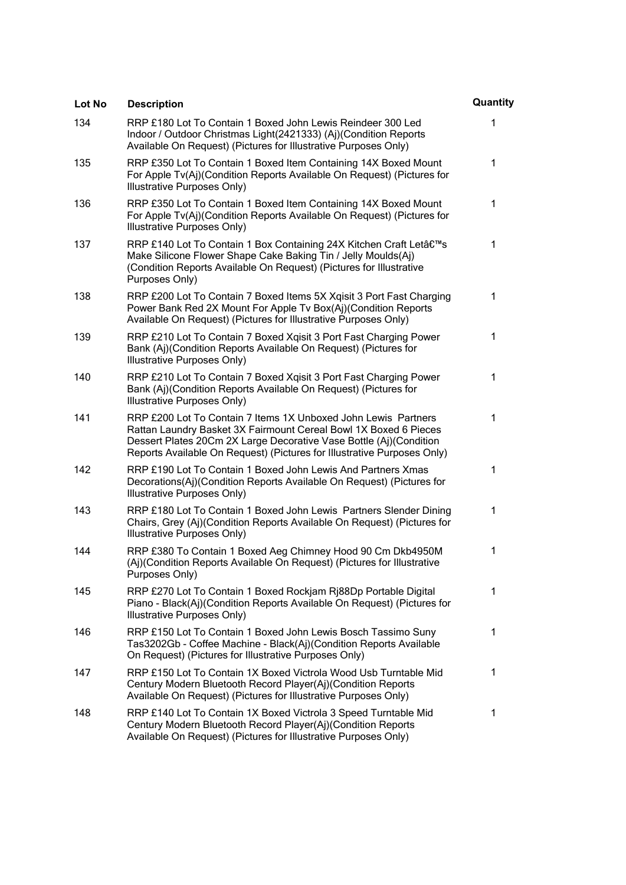| Lot No | <b>Description</b>                                                                                                                                                                                                                                                                  | Quantity |
|--------|-------------------------------------------------------------------------------------------------------------------------------------------------------------------------------------------------------------------------------------------------------------------------------------|----------|
| 134    | RRP £180 Lot To Contain 1 Boxed John Lewis Reindeer 300 Led<br>Indoor / Outdoor Christmas Light(2421333) (Aj)(Condition Reports<br>Available On Request) (Pictures for Illustrative Purposes Only)                                                                                  | 1        |
| 135    | RRP £350 Lot To Contain 1 Boxed Item Containing 14X Boxed Mount<br>For Apple Tv(Aj)(Condition Reports Available On Request) (Pictures for<br>Illustrative Purposes Only)                                                                                                            | 1        |
| 136    | RRP £350 Lot To Contain 1 Boxed Item Containing 14X Boxed Mount<br>For Apple Tv(Aj)(Condition Reports Available On Request) (Pictures for<br>Illustrative Purposes Only)                                                                                                            | 1        |
| 137    | RRP £140 Lot To Contain 1 Box Containing 24X Kitchen Craft Let's<br>Make Silicone Flower Shape Cake Baking Tin / Jelly Moulds(Aj)<br>(Condition Reports Available On Request) (Pictures for Illustrative<br>Purposes Only)                                                          | 1        |
| 138    | RRP £200 Lot To Contain 7 Boxed Items 5X Xqisit 3 Port Fast Charging<br>Power Bank Red 2X Mount For Apple Tv Box(Aj)(Condition Reports<br>Available On Request) (Pictures for Illustrative Purposes Only)                                                                           | 1        |
| 139    | RRP £210 Lot To Contain 7 Boxed Xqisit 3 Port Fast Charging Power<br>Bank (Aj)(Condition Reports Available On Request) (Pictures for<br>Illustrative Purposes Only)                                                                                                                 | 1        |
| 140    | RRP £210 Lot To Contain 7 Boxed Xqisit 3 Port Fast Charging Power<br>Bank (Aj)(Condition Reports Available On Request) (Pictures for<br>Illustrative Purposes Only)                                                                                                                 | 1        |
| 141    | RRP £200 Lot To Contain 7 Items 1X Unboxed John Lewis Partners<br>Rattan Laundry Basket 3X Fairmount Cereal Bowl 1X Boxed 6 Pieces<br>Dessert Plates 20Cm 2X Large Decorative Vase Bottle (Aj)(Condition<br>Reports Available On Request) (Pictures for Illustrative Purposes Only) | 1        |
| 142    | RRP £190 Lot To Contain 1 Boxed John Lewis And Partners Xmas<br>Decorations(Aj)(Condition Reports Available On Request) (Pictures for<br>Illustrative Purposes Only)                                                                                                                | 1        |
| 143    | RRP £180 Lot To Contain 1 Boxed John Lewis Partners Slender Dining<br>Chairs, Grey (Aj)(Condition Reports Available On Request) (Pictures for<br>Illustrative Purposes Only)                                                                                                        | 1        |
| 144    | RRP £380 To Contain 1 Boxed Aeg Chimney Hood 90 Cm Dkb4950M<br>(Aj)(Condition Reports Available On Request) (Pictures for Illustrative<br>Purposes Only)                                                                                                                            | 1        |
| 145    | RRP £270 Lot To Contain 1 Boxed Rockjam Rj88Dp Portable Digital<br>Piano - Black(Aj)(Condition Reports Available On Request) (Pictures for<br>Illustrative Purposes Only)                                                                                                           | 1        |
| 146    | RRP £150 Lot To Contain 1 Boxed John Lewis Bosch Tassimo Suny<br>Tas3202Gb - Coffee Machine - Black(Aj)(Condition Reports Available<br>On Request) (Pictures for Illustrative Purposes Only)                                                                                        | 1        |
| 147    | RRP £150 Lot To Contain 1X Boxed Victrola Wood Usb Turntable Mid<br>Century Modern Bluetooth Record Player(Aj)(Condition Reports<br>Available On Request) (Pictures for Illustrative Purposes Only)                                                                                 | 1        |
| 148    | RRP £140 Lot To Contain 1X Boxed Victrola 3 Speed Turntable Mid<br>Century Modern Bluetooth Record Player(Aj)(Condition Reports<br>Available On Request) (Pictures for Illustrative Purposes Only)                                                                                  | 1        |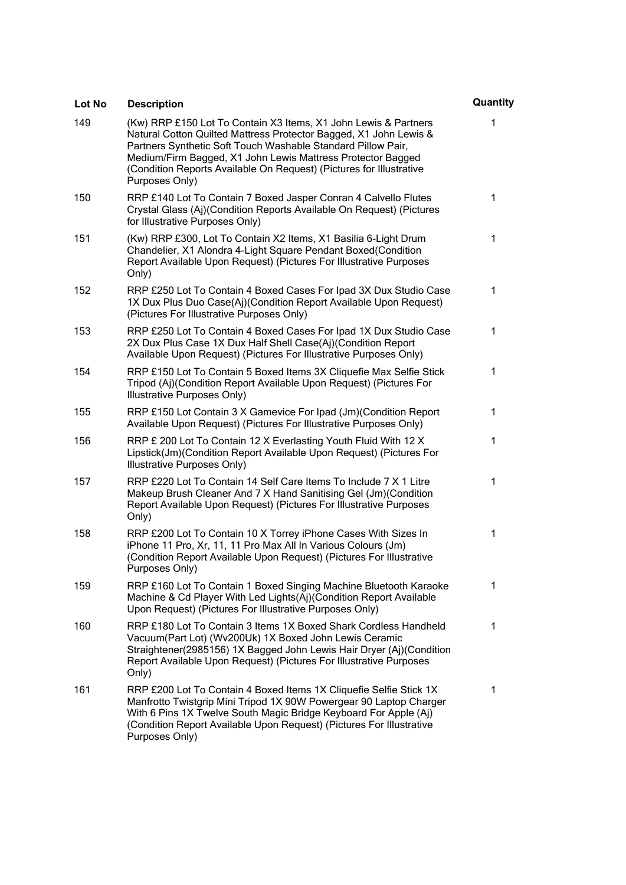| Lot No | <b>Description</b>                                                                                                                                                                                                                                                                                                                                           | Quantity |
|--------|--------------------------------------------------------------------------------------------------------------------------------------------------------------------------------------------------------------------------------------------------------------------------------------------------------------------------------------------------------------|----------|
| 149    | (Kw) RRP £150 Lot To Contain X3 Items, X1 John Lewis & Partners<br>Natural Cotton Quilted Mattress Protector Bagged, X1 John Lewis &<br>Partners Synthetic Soft Touch Washable Standard Pillow Pair,<br>Medium/Firm Bagged, X1 John Lewis Mattress Protector Bagged<br>(Condition Reports Available On Request) (Pictures for Illustrative<br>Purposes Only) | 1        |
| 150    | RRP £140 Lot To Contain 7 Boxed Jasper Conran 4 Calvello Flutes<br>Crystal Glass (Aj)(Condition Reports Available On Request) (Pictures<br>for Illustrative Purposes Only)                                                                                                                                                                                   | 1        |
| 151    | (Kw) RRP £300, Lot To Contain X2 Items, X1 Basilia 6-Light Drum<br>Chandelier, X1 Alondra 4-Light Square Pendant Boxed(Condition<br>Report Available Upon Request) (Pictures For Illustrative Purposes<br>Only)                                                                                                                                              | 1        |
| 152    | RRP £250 Lot To Contain 4 Boxed Cases For Ipad 3X Dux Studio Case<br>1X Dux Plus Duo Case(Aj)(Condition Report Available Upon Request)<br>(Pictures For Illustrative Purposes Only)                                                                                                                                                                          | 1        |
| 153    | RRP £250 Lot To Contain 4 Boxed Cases For Ipad 1X Dux Studio Case<br>2X Dux Plus Case 1X Dux Half Shell Case(Aj)(Condition Report<br>Available Upon Request) (Pictures For Illustrative Purposes Only)                                                                                                                                                       | 1        |
| 154    | RRP £150 Lot To Contain 5 Boxed Items 3X Cliquefie Max Selfie Stick<br>Tripod (Aj)(Condition Report Available Upon Request) (Pictures For<br>Illustrative Purposes Only)                                                                                                                                                                                     | 1        |
| 155    | RRP £150 Lot Contain 3 X Gamevice For Ipad (Jm)(Condition Report<br>Available Upon Request) (Pictures For Illustrative Purposes Only)                                                                                                                                                                                                                        | 1        |
| 156    | RRP £ 200 Lot To Contain 12 X Everlasting Youth Fluid With 12 X<br>Lipstick(Jm)(Condition Report Available Upon Request) (Pictures For<br>Illustrative Purposes Only)                                                                                                                                                                                        | 1        |
| 157    | RRP £220 Lot To Contain 14 Self Care Items To Include 7 X 1 Litre<br>Makeup Brush Cleaner And 7 X Hand Sanitising Gel (Jm)(Condition<br>Report Available Upon Request) (Pictures For Illustrative Purposes<br>Only)                                                                                                                                          | 1        |
| 158    | RRP £200 Lot To Contain 10 X Torrey iPhone Cases With Sizes In<br>iPhone 11 Pro, Xr, 11, 11 Pro Max All In Various Colours (Jm)<br>(Condition Report Available Upon Request) (Pictures For Illustrative<br>Purposes Only)                                                                                                                                    | 1        |
| 159    | RRP £160 Lot To Contain 1 Boxed Singing Machine Bluetooth Karaoke<br>Machine & Cd Player With Led Lights(Aj)(Condition Report Available<br>Upon Request) (Pictures For Illustrative Purposes Only)                                                                                                                                                           | 1        |
| 160    | RRP £180 Lot To Contain 3 Items 1X Boxed Shark Cordless Handheld<br>Vacuum(Part Lot) (Wv200Uk) 1X Boxed John Lewis Ceramic<br>Straightener(2985156) 1X Bagged John Lewis Hair Dryer (Aj)(Condition<br>Report Available Upon Request) (Pictures For Illustrative Purposes<br>Only)                                                                            | 1        |
| 161    | RRP £200 Lot To Contain 4 Boxed Items 1X Cliquefie Selfie Stick 1X<br>Manfrotto Twistgrip Mini Tripod 1X 90W Powergear 90 Laptop Charger<br>With 6 Pins 1X Twelve South Magic Bridge Keyboard For Apple (Aj)<br>(Condition Report Available Upon Request) (Pictures For Illustrative<br>Purposes Only)                                                       | 1        |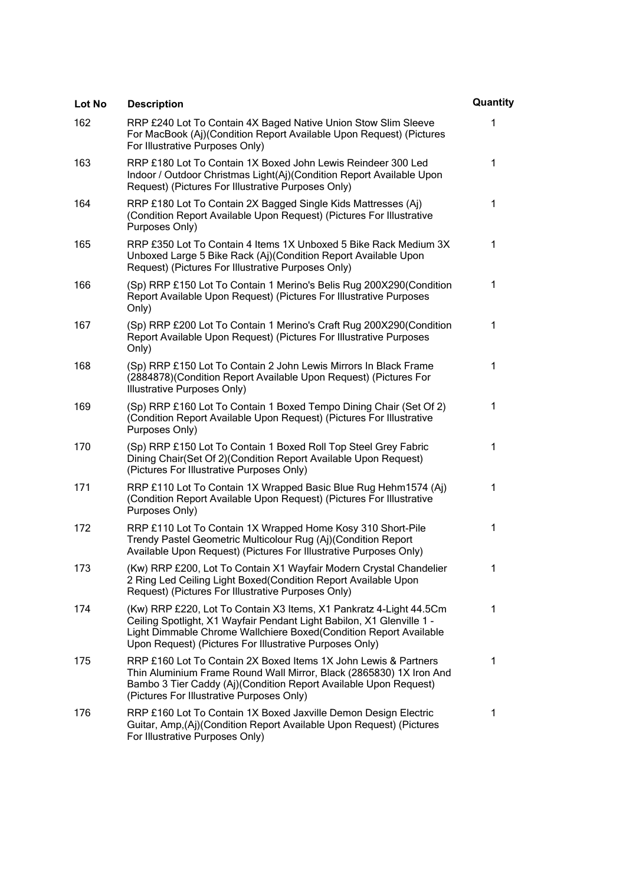| Lot No | <b>Description</b>                                                                                                                                                                                                                                                           | Quantity |
|--------|------------------------------------------------------------------------------------------------------------------------------------------------------------------------------------------------------------------------------------------------------------------------------|----------|
| 162    | RRP £240 Lot To Contain 4X Baged Native Union Stow Slim Sleeve<br>For MacBook (Aj)(Condition Report Available Upon Request) (Pictures<br>For Illustrative Purposes Only)                                                                                                     | 1        |
| 163    | RRP £180 Lot To Contain 1X Boxed John Lewis Reindeer 300 Led<br>Indoor / Outdoor Christmas Light(Aj)(Condition Report Available Upon<br>Request) (Pictures For Illustrative Purposes Only)                                                                                   | 1        |
| 164    | RRP £180 Lot To Contain 2X Bagged Single Kids Mattresses (Aj)<br>(Condition Report Available Upon Request) (Pictures For Illustrative<br>Purposes Only)                                                                                                                      | 1        |
| 165    | RRP £350 Lot To Contain 4 Items 1X Unboxed 5 Bike Rack Medium 3X<br>Unboxed Large 5 Bike Rack (Aj)(Condition Report Available Upon<br>Request) (Pictures For Illustrative Purposes Only)                                                                                     | 1        |
| 166    | (Sp) RRP £150 Lot To Contain 1 Merino's Belis Rug 200X290(Condition<br>Report Available Upon Request) (Pictures For Illustrative Purposes<br>Only)                                                                                                                           | 1        |
| 167    | (Sp) RRP £200 Lot To Contain 1 Merino's Craft Rug 200X290(Condition<br>Report Available Upon Request) (Pictures For Illustrative Purposes<br>Only)                                                                                                                           | 1        |
| 168    | (Sp) RRP £150 Lot To Contain 2 John Lewis Mirrors In Black Frame<br>(2884878)(Condition Report Available Upon Request) (Pictures For<br><b>Illustrative Purposes Only)</b>                                                                                                   | 1        |
| 169    | (Sp) RRP £160 Lot To Contain 1 Boxed Tempo Dining Chair (Set Of 2)<br>(Condition Report Available Upon Request) (Pictures For Illustrative<br>Purposes Only)                                                                                                                 | 1        |
| 170    | (Sp) RRP £150 Lot To Contain 1 Boxed Roll Top Steel Grey Fabric<br>Dining Chair(Set Of 2) (Condition Report Available Upon Request)<br>(Pictures For Illustrative Purposes Only)                                                                                             | 1        |
| 171    | RRP £110 Lot To Contain 1X Wrapped Basic Blue Rug Hehm1574 (Aj)<br>(Condition Report Available Upon Request) (Pictures For Illustrative<br>Purposes Only)                                                                                                                    | 1        |
| 172    | RRP £110 Lot To Contain 1X Wrapped Home Kosy 310 Short-Pile<br>Trendy Pastel Geometric Multicolour Rug (Aj)(Condition Report<br>Available Upon Request) (Pictures For Illustrative Purposes Only)                                                                            | 1        |
| 173    | (Kw) RRP £200, Lot To Contain X1 Wayfair Modern Crystal Chandelier<br>2 Ring Led Ceiling Light Boxed (Condition Report Available Upon<br>Request) (Pictures For Illustrative Purposes Only)                                                                                  | 1        |
| 174    | (Kw) RRP £220, Lot To Contain X3 Items, X1 Pankratz 4-Light 44.5Cm<br>Ceiling Spotlight, X1 Wayfair Pendant Light Babilon, X1 Glenville 1 -<br>Light Dimmable Chrome Wallchiere Boxed (Condition Report Available<br>Upon Request) (Pictures For Illustrative Purposes Only) | 1        |
| 175    | RRP £160 Lot To Contain 2X Boxed Items 1X John Lewis & Partners<br>Thin Aluminium Frame Round Wall Mirror, Black (2865830) 1X Iron And<br>Bambo 3 Tier Caddy (Aj)(Condition Report Available Upon Request)<br>(Pictures For Illustrative Purposes Only)                      | 1        |
| 176    | RRP £160 Lot To Contain 1X Boxed Jaxville Demon Design Electric<br>Guitar, Amp, (Aj) (Condition Report Available Upon Request) (Pictures<br>For Illustrative Purposes Only)                                                                                                  | 1        |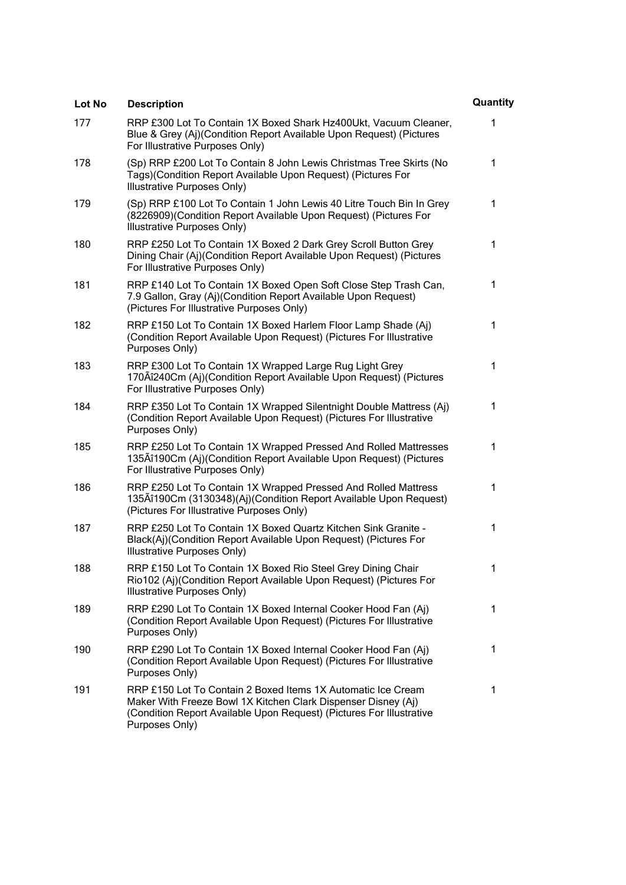| Lot No | <b>Description</b>                                                                                                                                                                                                      | Quantity |
|--------|-------------------------------------------------------------------------------------------------------------------------------------------------------------------------------------------------------------------------|----------|
| 177    | RRP £300 Lot To Contain 1X Boxed Shark Hz400Ukt, Vacuum Cleaner,<br>Blue & Grey (Aj)(Condition Report Available Upon Request) (Pictures<br>For Illustrative Purposes Only)                                              | 1        |
| 178    | (Sp) RRP £200 Lot To Contain 8 John Lewis Christmas Tree Skirts (No<br>Tags)(Condition Report Available Upon Request) (Pictures For<br>Illustrative Purposes Only)                                                      | 1        |
| 179    | (Sp) RRP £100 Lot To Contain 1 John Lewis 40 Litre Touch Bin In Grey<br>(8226909)(Condition Report Available Upon Request) (Pictures For<br>Illustrative Purposes Only)                                                 | 1        |
| 180    | RRP £250 Lot To Contain 1X Boxed 2 Dark Grey Scroll Button Grey<br>Dining Chair (Aj)(Condition Report Available Upon Request) (Pictures<br>For Illustrative Purposes Only)                                              | 1        |
| 181    | RRP £140 Lot To Contain 1X Boxed Open Soft Close Step Trash Can,<br>7.9 Gallon, Gray (Aj)(Condition Report Available Upon Request)<br>(Pictures For Illustrative Purposes Only)                                         | 1        |
| 182    | RRP £150 Lot To Contain 1X Boxed Harlem Floor Lamp Shade (Aj)<br>(Condition Report Available Upon Request) (Pictures For Illustrative<br>Purposes Only)                                                                 | 1        |
| 183    | RRP £300 Lot To Contain 1X Wrapped Large Rug Light Grey<br>170 Aî240 Cm (Aj) (Condition Report Available Upon Request) (Pictures<br>For Illustrative Purposes Only)                                                     | 1        |
| 184    | RRP £350 Lot To Contain 1X Wrapped Silentnight Double Mattress (Aj)<br>(Condition Report Available Upon Request) (Pictures For Illustrative<br>Purposes Only)                                                           | 1        |
| 185    | RRP £250 Lot To Contain 1X Wrapped Pressed And Rolled Mattresses<br>135Aî190Cm (Aj)(Condition Report Available Upon Request) (Pictures<br>For Illustrative Purposes Only)                                               | 1        |
| 186    | RRP £250 Lot To Contain 1X Wrapped Pressed And Rolled Mattress<br>135Aî190Cm (3130348)(Aj)(Condition Report Available Upon Request)<br>(Pictures For Illustrative Purposes Only)                                        | 1        |
| 187    | RRP £250 Lot To Contain 1X Boxed Quartz Kitchen Sink Granite -<br>Black(Aj)(Condition Report Available Upon Request) (Pictures For<br>Illustrative Purposes Only)                                                       | 1        |
| 188    | RRP £150 Lot To Contain 1X Boxed Rio Steel Grey Dining Chair<br>Rio102 (Aj)(Condition Report Available Upon Request) (Pictures For<br>Illustrative Purposes Only)                                                       | 1        |
| 189    | RRP £290 Lot To Contain 1X Boxed Internal Cooker Hood Fan (Aj)<br>(Condition Report Available Upon Request) (Pictures For Illustrative<br>Purposes Only)                                                                | 1        |
| 190    | RRP £290 Lot To Contain 1X Boxed Internal Cooker Hood Fan (Aj)<br>(Condition Report Available Upon Request) (Pictures For Illustrative<br>Purposes Only)                                                                | 1        |
| 191    | RRP £150 Lot To Contain 2 Boxed Items 1X Automatic Ice Cream<br>Maker With Freeze Bowl 1X Kitchen Clark Dispenser Disney (Aj)<br>(Condition Report Available Upon Request) (Pictures For Illustrative<br>Purposes Only) | 1        |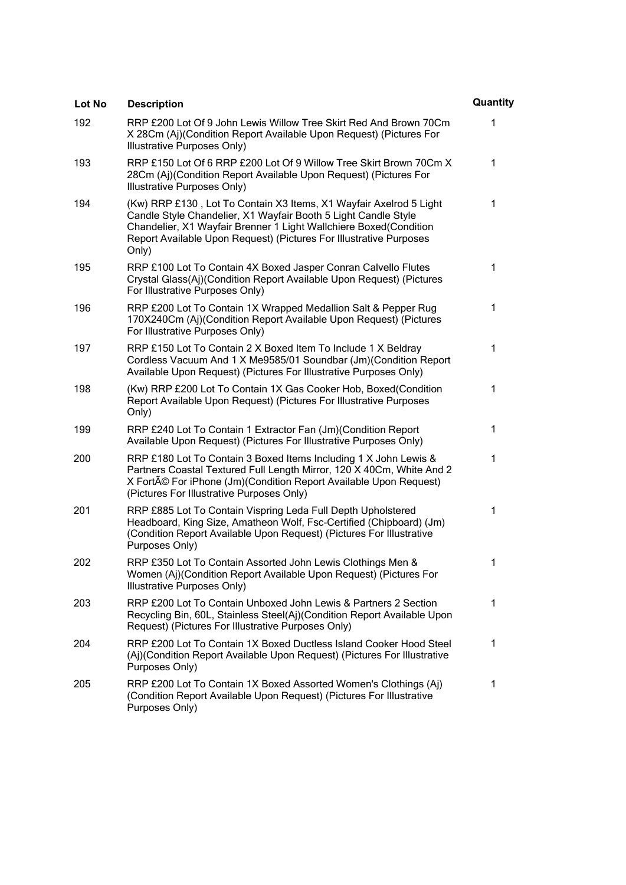| Lot No | <b>Description</b>                                                                                                                                                                                                                                                                       | Quantity |
|--------|------------------------------------------------------------------------------------------------------------------------------------------------------------------------------------------------------------------------------------------------------------------------------------------|----------|
| 192    | RRP £200 Lot Of 9 John Lewis Willow Tree Skirt Red And Brown 70Cm<br>X 28Cm (Aj)(Condition Report Available Upon Request) (Pictures For<br>Illustrative Purposes Only)                                                                                                                   | 1        |
| 193    | RRP £150 Lot Of 6 RRP £200 Lot Of 9 Willow Tree Skirt Brown 70Cm X<br>28Cm (Aj)(Condition Report Available Upon Request) (Pictures For<br>Illustrative Purposes Only)                                                                                                                    | 1        |
| 194    | (Kw) RRP £130, Lot To Contain X3 Items, X1 Wayfair Axelrod 5 Light<br>Candle Style Chandelier, X1 Wayfair Booth 5 Light Candle Style<br>Chandelier, X1 Wayfair Brenner 1 Light Wallchiere Boxed(Condition<br>Report Available Upon Request) (Pictures For Illustrative Purposes<br>Only) | 1        |
| 195    | RRP £100 Lot To Contain 4X Boxed Jasper Conran Calvello Flutes<br>Crystal Glass(Aj)(Condition Report Available Upon Request) (Pictures<br>For Illustrative Purposes Only)                                                                                                                | 1        |
| 196    | RRP £200 Lot To Contain 1X Wrapped Medallion Salt & Pepper Rug<br>170X240Cm (Aj)(Condition Report Available Upon Request) (Pictures<br>For Illustrative Purposes Only)                                                                                                                   | 1        |
| 197    | RRP £150 Lot To Contain 2 X Boxed Item To Include 1 X Beldray<br>Cordless Vacuum And 1 X Me9585/01 Soundbar (Jm)(Condition Report<br>Available Upon Request) (Pictures For Illustrative Purposes Only)                                                                                   | 1        |
| 198    | (Kw) RRP £200 Lot To Contain 1X Gas Cooker Hob, Boxed(Condition<br>Report Available Upon Request) (Pictures For Illustrative Purposes<br>Only)                                                                                                                                           | 1        |
| 199    | RRP £240 Lot To Contain 1 Extractor Fan (Jm) (Condition Report<br>Available Upon Request) (Pictures For Illustrative Purposes Only)                                                                                                                                                      | 1        |
| 200    | RRP £180 Lot To Contain 3 Boxed Items Including 1 X John Lewis &<br>Partners Coastal Textured Full Length Mirror, 120 X 40Cm, White And 2<br>X Forté For iPhone (Jm)(Condition Report Available Upon Request)<br>(Pictures For Illustrative Purposes Only)                               | 1        |
| 201    | RRP £885 Lot To Contain Vispring Leda Full Depth Upholstered<br>Headboard, King Size, Amatheon Wolf, Fsc-Certified (Chipboard) (Jm)<br>(Condition Report Available Upon Request) (Pictures For Illustrative<br>Purposes Only)                                                            | 1        |
| 202    | RRP £350 Lot To Contain Assorted John Lewis Clothings Men &<br>Women (Aj)(Condition Report Available Upon Request) (Pictures For<br>Illustrative Purposes Only)                                                                                                                          | 1        |
| 203    | RRP £200 Lot To Contain Unboxed John Lewis & Partners 2 Section<br>Recycling Bin, 60L, Stainless Steel(Aj)(Condition Report Available Upon<br>Request) (Pictures For Illustrative Purposes Only)                                                                                         | 1        |
| 204    | RRP £200 Lot To Contain 1X Boxed Ductless Island Cooker Hood Steel<br>(Aj)(Condition Report Available Upon Request) (Pictures For Illustrative<br>Purposes Only)                                                                                                                         | 1        |
| 205    | RRP £200 Lot To Contain 1X Boxed Assorted Women's Clothings (Aj)<br>(Condition Report Available Upon Request) (Pictures For Illustrative<br>Purposes Only)                                                                                                                               | 1        |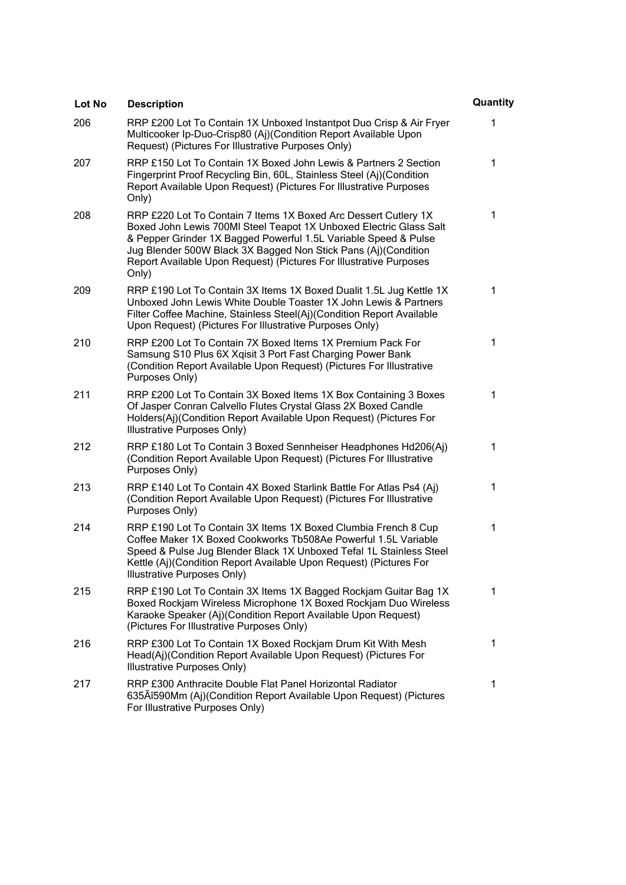| Lot No | <b>Description</b>                                                                                                                                                                                                                                                                                                                                        | Quantity |
|--------|-----------------------------------------------------------------------------------------------------------------------------------------------------------------------------------------------------------------------------------------------------------------------------------------------------------------------------------------------------------|----------|
| 206    | RRP £200 Lot To Contain 1X Unboxed Instantpot Duo Crisp & Air Fryer<br>Multicooker Ip-Duo-Crisp80 (Aj)(Condition Report Available Upon<br>Request) (Pictures For Illustrative Purposes Only)                                                                                                                                                              | 1        |
| 207    | RRP £150 Lot To Contain 1X Boxed John Lewis & Partners 2 Section<br>Fingerprint Proof Recycling Bin, 60L, Stainless Steel (Aj)(Condition<br>Report Available Upon Request) (Pictures For Illustrative Purposes<br>Only)                                                                                                                                   | 1        |
| 208    | RRP £220 Lot To Contain 7 Items 1X Boxed Arc Dessert Cutlery 1X<br>Boxed John Lewis 700MI Steel Teapot 1X Unboxed Electric Glass Salt<br>& Pepper Grinder 1X Bagged Powerful 1.5L Variable Speed & Pulse<br>Jug Blender 500W Black 3X Bagged Non Stick Pans (Aj)(Condition<br>Report Available Upon Request) (Pictures For Illustrative Purposes<br>Only) | 1        |
| 209    | RRP £190 Lot To Contain 3X Items 1X Boxed Dualit 1.5L Jug Kettle 1X<br>Unboxed John Lewis White Double Toaster 1X John Lewis & Partners<br>Filter Coffee Machine, Stainless Steel(Aj)(Condition Report Available<br>Upon Request) (Pictures For Illustrative Purposes Only)                                                                               | 1        |
| 210    | RRP £200 Lot To Contain 7X Boxed Items 1X Premium Pack For<br>Samsung S10 Plus 6X Xqisit 3 Port Fast Charging Power Bank<br>(Condition Report Available Upon Request) (Pictures For Illustrative<br>Purposes Only)                                                                                                                                        | 1        |
| 211    | RRP £200 Lot To Contain 3X Boxed Items 1X Box Containing 3 Boxes<br>Of Jasper Conran Calvello Flutes Crystal Glass 2X Boxed Candle<br>Holders(Aj)(Condition Report Available Upon Request) (Pictures For<br>Illustrative Purposes Only)                                                                                                                   | 1        |
| 212    | RRP £180 Lot To Contain 3 Boxed Sennheiser Headphones Hd206(Aj)<br>(Condition Report Available Upon Request) (Pictures For Illustrative<br>Purposes Only)                                                                                                                                                                                                 | 1        |
| 213    | RRP £140 Lot To Contain 4X Boxed Starlink Battle For Atlas Ps4 (Aj)<br>(Condition Report Available Upon Request) (Pictures For Illustrative<br>Purposes Only)                                                                                                                                                                                             | 1        |
| 214    | RRP £190 Lot To Contain 3X Items 1X Boxed Clumbia French 8 Cup<br>Coffee Maker 1X Boxed Cookworks Tb508Ae Powerful 1.5L Variable<br>Speed & Pulse Jug Blender Black 1X Unboxed Tefal 1L Stainless Steel<br>Kettle (Aj)(Condition Report Available Upon Request) (Pictures For<br>Illustrative Purposes Only)                                              | 1        |
| 215    | RRP £190 Lot To Contain 3X Items 1X Bagged Rockjam Guitar Bag 1X<br>Boxed Rockjam Wireless Microphone 1X Boxed Rockjam Duo Wireless<br>Karaoke Speaker (Aj)(Condition Report Available Upon Request)<br>(Pictures For Illustrative Purposes Only)                                                                                                         | 1        |
| 216    | RRP £300 Lot To Contain 1X Boxed Rockjam Drum Kit With Mesh<br>Head(Aj)(Condition Report Available Upon Request) (Pictures For<br>Illustrative Purposes Only)                                                                                                                                                                                             | 1        |
| 217    | RRP £300 Anthracite Double Flat Panel Horizontal Radiator<br>635Aî590Mm (Aj)(Condition Report Available Upon Request) (Pictures<br>For Illustrative Purposes Only)                                                                                                                                                                                        | 1        |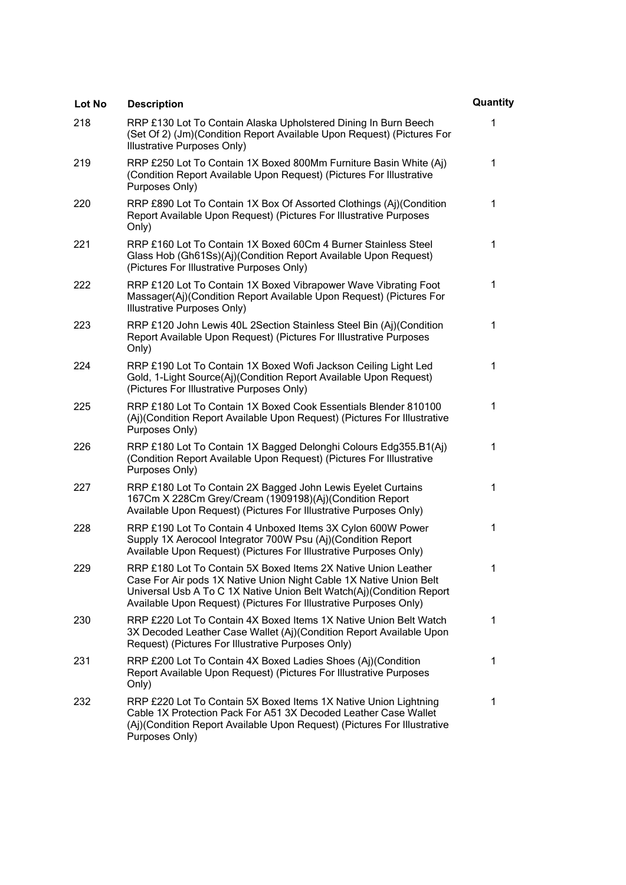| Lot No | <b>Description</b>                                                                                                                                                                                                                                                                | Quantity |
|--------|-----------------------------------------------------------------------------------------------------------------------------------------------------------------------------------------------------------------------------------------------------------------------------------|----------|
| 218    | RRP £130 Lot To Contain Alaska Upholstered Dining In Burn Beech<br>(Set Of 2) (Jm)(Condition Report Available Upon Request) (Pictures For<br>Illustrative Purposes Only)                                                                                                          | 1        |
| 219    | RRP £250 Lot To Contain 1X Boxed 800Mm Furniture Basin White (Aj)<br>(Condition Report Available Upon Request) (Pictures For Illustrative<br>Purposes Only)                                                                                                                       | 1        |
| 220    | RRP £890 Lot To Contain 1X Box Of Assorted Clothings (Aj)(Condition<br>Report Available Upon Request) (Pictures For Illustrative Purposes<br>Only)                                                                                                                                | 1        |
| 221    | RRP £160 Lot To Contain 1X Boxed 60Cm 4 Burner Stainless Steel<br>Glass Hob (Gh61Ss)(Aj)(Condition Report Available Upon Request)<br>(Pictures For Illustrative Purposes Only)                                                                                                    | 1        |
| 222    | RRP £120 Lot To Contain 1X Boxed Vibrapower Wave Vibrating Foot<br>Massager(Aj)(Condition Report Available Upon Request) (Pictures For<br>Illustrative Purposes Only)                                                                                                             | 1        |
| 223    | RRP £120 John Lewis 40L 2Section Stainless Steel Bin (Aj)(Condition<br>Report Available Upon Request) (Pictures For Illustrative Purposes<br>Only)                                                                                                                                | 1        |
| 224    | RRP £190 Lot To Contain 1X Boxed Wofi Jackson Ceiling Light Led<br>Gold, 1-Light Source(Aj)(Condition Report Available Upon Request)<br>(Pictures For Illustrative Purposes Only)                                                                                                 | 1        |
| 225    | RRP £180 Lot To Contain 1X Boxed Cook Essentials Blender 810100<br>(Aj)(Condition Report Available Upon Request) (Pictures For Illustrative<br>Purposes Only)                                                                                                                     | 1        |
| 226    | RRP £180 Lot To Contain 1X Bagged Delonghi Colours Edg355.B1(Aj)<br>(Condition Report Available Upon Request) (Pictures For Illustrative<br>Purposes Only)                                                                                                                        | 1        |
| 227    | RRP £180 Lot To Contain 2X Bagged John Lewis Eyelet Curtains<br>167Cm X 228Cm Grey/Cream (1909198)(Aj)(Condition Report<br>Available Upon Request) (Pictures For Illustrative Purposes Only)                                                                                      | 1        |
| 228    | RRP £190 Lot To Contain 4 Unboxed Items 3X Cylon 600W Power<br>Supply 1X Aerocool Integrator 700W Psu (Aj)(Condition Report<br>Available Upon Request) (Pictures For Illustrative Purposes Only)                                                                                  | 1        |
| 229    | RRP £180 Lot To Contain 5X Boxed Items 2X Native Union Leather<br>Case For Air pods 1X Native Union Night Cable 1X Native Union Belt<br>Universal Usb A To C 1X Native Union Belt Watch(Aj)(Condition Report<br>Available Upon Request) (Pictures For Illustrative Purposes Only) |          |
| 230    | RRP £220 Lot To Contain 4X Boxed Items 1X Native Union Belt Watch<br>3X Decoded Leather Case Wallet (Aj)(Condition Report Available Upon<br>Request) (Pictures For Illustrative Purposes Only)                                                                                    | 1        |
| 231    | RRP £200 Lot To Contain 4X Boxed Ladies Shoes (Aj)(Condition<br>Report Available Upon Request) (Pictures For Illustrative Purposes<br>Only)                                                                                                                                       | 1        |
| 232    | RRP £220 Lot To Contain 5X Boxed Items 1X Native Union Lightning<br>Cable 1X Protection Pack For A51 3X Decoded Leather Case Wallet<br>(Aj)(Condition Report Available Upon Request) (Pictures For Illustrative<br>Purposes Only)                                                 | 1        |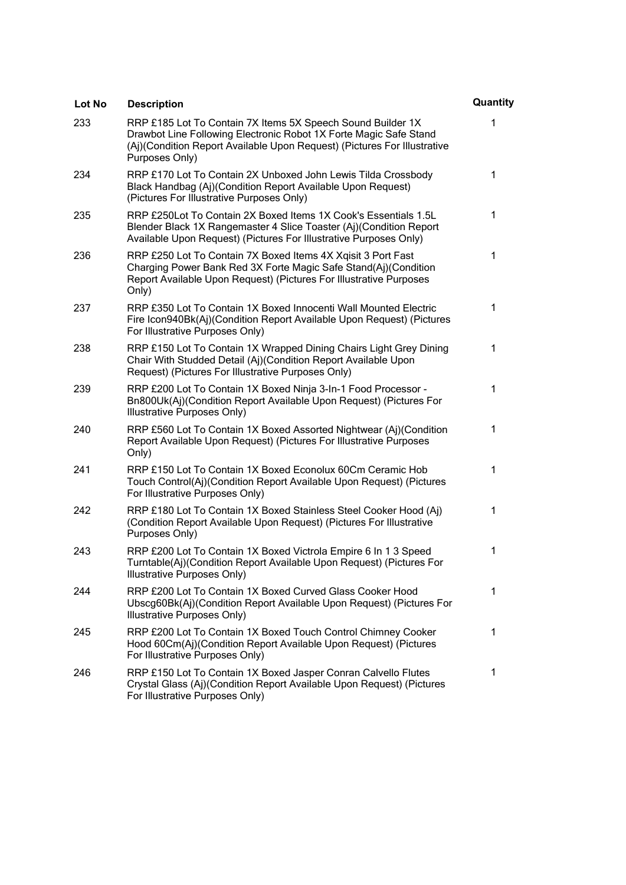| Lot No | <b>Description</b>                                                                                                                                                                                                             | Quantity |
|--------|--------------------------------------------------------------------------------------------------------------------------------------------------------------------------------------------------------------------------------|----------|
| 233    | RRP £185 Lot To Contain 7X Items 5X Speech Sound Builder 1X<br>Drawbot Line Following Electronic Robot 1X Forte Magic Safe Stand<br>(Aj)(Condition Report Available Upon Request) (Pictures For Illustrative<br>Purposes Only) | 1        |
| 234    | RRP £170 Lot To Contain 2X Unboxed John Lewis Tilda Crossbody<br>Black Handbag (Aj)(Condition Report Available Upon Request)<br>(Pictures For Illustrative Purposes Only)                                                      | 1        |
| 235    | RRP £250Lot To Contain 2X Boxed Items 1X Cook's Essentials 1.5L<br>Blender Black 1X Rangemaster 4 Slice Toaster (Aj)(Condition Report<br>Available Upon Request) (Pictures For Illustrative Purposes Only)                     | 1        |
| 236    | RRP £250 Lot To Contain 7X Boxed Items 4X Xqisit 3 Port Fast<br>Charging Power Bank Red 3X Forte Magic Safe Stand(Aj)(Condition<br>Report Available Upon Request) (Pictures For Illustrative Purposes<br>Only)                 | 1        |
| 237    | RRP £350 Lot To Contain 1X Boxed Innocenti Wall Mounted Electric<br>Fire Icon940Bk(Aj)(Condition Report Available Upon Request) (Pictures<br>For Illustrative Purposes Only)                                                   | 1        |
| 238    | RRP £150 Lot To Contain 1X Wrapped Dining Chairs Light Grey Dining<br>Chair With Studded Detail (Aj)(Condition Report Available Upon<br>Request) (Pictures For Illustrative Purposes Only)                                     | 1        |
| 239    | RRP £200 Lot To Contain 1X Boxed Ninja 3-In-1 Food Processor -<br>Bn800Uk(Aj)(Condition Report Available Upon Request) (Pictures For<br>Illustrative Purposes Only)                                                            | 1        |
| 240    | RRP £560 Lot To Contain 1X Boxed Assorted Nightwear (Aj)(Condition<br>Report Available Upon Request) (Pictures For Illustrative Purposes<br>Only)                                                                              | 1        |
| 241    | RRP £150 Lot To Contain 1X Boxed Econolux 60Cm Ceramic Hob<br>Touch Control(Aj)(Condition Report Available Upon Request) (Pictures<br>For Illustrative Purposes Only)                                                          | 1        |
| 242    | RRP £180 Lot To Contain 1X Boxed Stainless Steel Cooker Hood (Aj)<br>(Condition Report Available Upon Request) (Pictures For Illustrative<br>Purposes Only)                                                                    | 1        |
| 243    | RRP £200 Lot To Contain 1X Boxed Victrola Empire 6 In 1 3 Speed<br>Turntable(Aj)(Condition Report Available Upon Request) (Pictures For<br>Illustrative Purposes Only)                                                         | 1        |
| 244    | RRP £200 Lot To Contain 1X Boxed Curved Glass Cooker Hood<br>Ubscg60Bk(Aj)(Condition Report Available Upon Request) (Pictures For<br>Illustrative Purposes Only)                                                               | 1        |
| 245    | RRP £200 Lot To Contain 1X Boxed Touch Control Chimney Cooker<br>Hood 60Cm(Aj)(Condition Report Available Upon Request) (Pictures<br>For Illustrative Purposes Only)                                                           | 1        |
| 246    | RRP £150 Lot To Contain 1X Boxed Jasper Conran Calvello Flutes<br>Crystal Glass (Aj)(Condition Report Available Upon Request) (Pictures<br>For Illustrative Purposes Only)                                                     | 1        |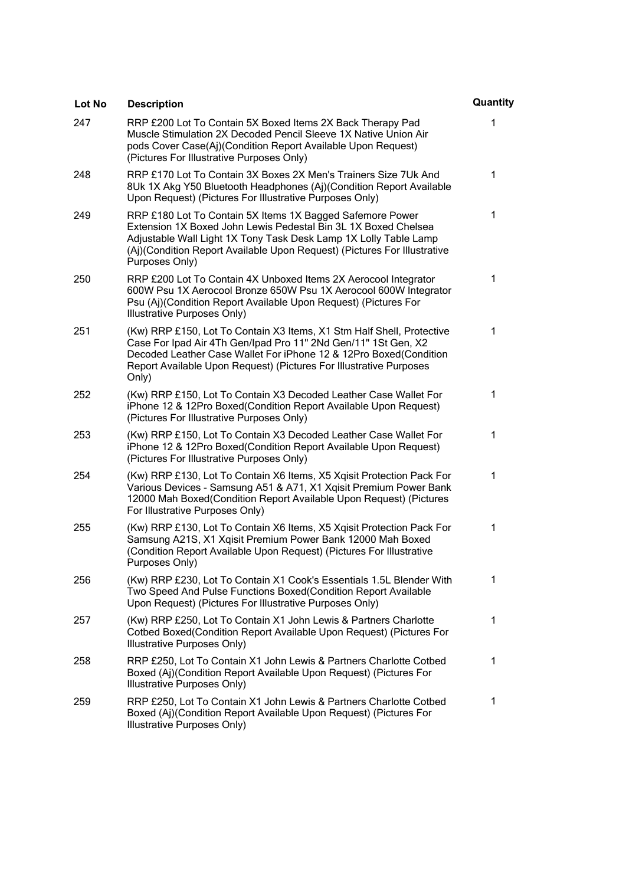| Lot No | <b>Description</b>                                                                                                                                                                                                                                                                            | Quantity |
|--------|-----------------------------------------------------------------------------------------------------------------------------------------------------------------------------------------------------------------------------------------------------------------------------------------------|----------|
| 247    | RRP £200 Lot To Contain 5X Boxed Items 2X Back Therapy Pad<br>Muscle Stimulation 2X Decoded Pencil Sleeve 1X Native Union Air<br>pods Cover Case(Aj)(Condition Report Available Upon Request)<br>(Pictures For Illustrative Purposes Only)                                                    | 1        |
| 248    | RRP £170 Lot To Contain 3X Boxes 2X Men's Trainers Size 7Uk And<br>8Uk 1X Akg Y50 Bluetooth Headphones (Aj)(Condition Report Available<br>Upon Request) (Pictures For Illustrative Purposes Only)                                                                                             | 1        |
| 249    | RRP £180 Lot To Contain 5X Items 1X Bagged Safemore Power<br>Extension 1X Boxed John Lewis Pedestal Bin 3L 1X Boxed Chelsea<br>Adjustable Wall Light 1X Tony Task Desk Lamp 1X Lolly Table Lamp<br>(Aj)(Condition Report Available Upon Request) (Pictures For Illustrative<br>Purposes Only) | 1        |
| 250    | RRP £200 Lot To Contain 4X Unboxed Items 2X Aerocool Integrator<br>600W Psu 1X Aerocool Bronze 650W Psu 1X Aerocool 600W Integrator<br>Psu (Aj)(Condition Report Available Upon Request) (Pictures For<br>Illustrative Purposes Only)                                                         | 1        |
| 251    | (Kw) RRP £150, Lot To Contain X3 Items, X1 Stm Half Shell, Protective<br>Case For Ipad Air 4Th Gen/Ipad Pro 11" 2Nd Gen/11" 1St Gen, X2<br>Decoded Leather Case Wallet For iPhone 12 & 12Pro Boxed(Condition<br>Report Available Upon Request) (Pictures For Illustrative Purposes<br>Only)   | 1        |
| 252    | (Kw) RRP £150, Lot To Contain X3 Decoded Leather Case Wallet For<br>iPhone 12 & 12Pro Boxed(Condition Report Available Upon Request)<br>(Pictures For Illustrative Purposes Only)                                                                                                             | 1        |
| 253    | (Kw) RRP £150, Lot To Contain X3 Decoded Leather Case Wallet For<br>iPhone 12 & 12Pro Boxed(Condition Report Available Upon Request)<br>(Pictures For Illustrative Purposes Only)                                                                                                             | 1        |
| 254    | (Kw) RRP £130, Lot To Contain X6 Items, X5 Xqisit Protection Pack For<br>Various Devices - Samsung A51 & A71, X1 Xqisit Premium Power Bank<br>12000 Mah Boxed(Condition Report Available Upon Request) (Pictures<br>For Illustrative Purposes Only)                                           | 1        |
| 255    | (Kw) RRP £130, Lot To Contain X6 Items, X5 Xqisit Protection Pack For<br>Samsung A21S, X1 Xqisit Premium Power Bank 12000 Mah Boxed<br>(Condition Report Available Upon Request) (Pictures For Illustrative<br>Purposes Only)                                                                 | 1        |
| 256    | (Kw) RRP £230, Lot To Contain X1 Cook's Essentials 1.5L Blender With<br>Two Speed And Pulse Functions Boxed(Condition Report Available<br>Upon Request) (Pictures For Illustrative Purposes Only)                                                                                             | 1        |
| 257    | (Kw) RRP £250, Lot To Contain X1 John Lewis & Partners Charlotte<br>Cotbed Boxed(Condition Report Available Upon Request) (Pictures For<br><b>Illustrative Purposes Only)</b>                                                                                                                 | 1        |
| 258    | RRP £250, Lot To Contain X1 John Lewis & Partners Charlotte Cotbed<br>Boxed (Aj)(Condition Report Available Upon Request) (Pictures For<br>Illustrative Purposes Only)                                                                                                                        | 1        |
| 259    | RRP £250, Lot To Contain X1 John Lewis & Partners Charlotte Cotbed<br>Boxed (Aj)(Condition Report Available Upon Request) (Pictures For<br>Illustrative Purposes Only)                                                                                                                        | 1        |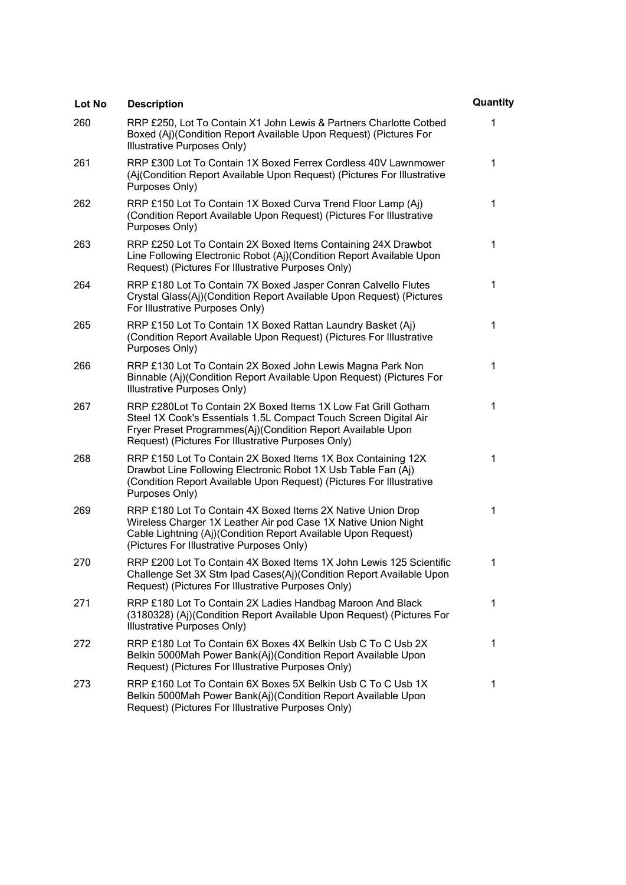| Lot No | <b>Description</b>                                                                                                                                                                                                                                     | Quantity |
|--------|--------------------------------------------------------------------------------------------------------------------------------------------------------------------------------------------------------------------------------------------------------|----------|
| 260    | RRP £250, Lot To Contain X1 John Lewis & Partners Charlotte Cotbed<br>Boxed (Aj)(Condition Report Available Upon Request) (Pictures For<br>Illustrative Purposes Only)                                                                                 | 1        |
| 261    | RRP £300 Lot To Contain 1X Boxed Ferrex Cordless 40V Lawnmower<br>(Aj(Condition Report Available Upon Request) (Pictures For Illustrative<br>Purposes Only)                                                                                            | 1        |
| 262    | RRP £150 Lot To Contain 1X Boxed Curva Trend Floor Lamp (Aj)<br>(Condition Report Available Upon Request) (Pictures For Illustrative<br>Purposes Only)                                                                                                 | 1        |
| 263    | RRP £250 Lot To Contain 2X Boxed Items Containing 24X Drawbot<br>Line Following Electronic Robot (Aj)(Condition Report Available Upon<br>Request) (Pictures For Illustrative Purposes Only)                                                            | 1        |
| 264    | RRP £180 Lot To Contain 7X Boxed Jasper Conran Calvello Flutes<br>Crystal Glass(Aj)(Condition Report Available Upon Request) (Pictures<br>For Illustrative Purposes Only)                                                                              | 1        |
| 265    | RRP £150 Lot To Contain 1X Boxed Rattan Laundry Basket (Aj)<br>(Condition Report Available Upon Request) (Pictures For Illustrative<br>Purposes Only)                                                                                                  | 1        |
| 266    | RRP £130 Lot To Contain 2X Boxed John Lewis Magna Park Non<br>Binnable (Aj)(Condition Report Available Upon Request) (Pictures For<br>Illustrative Purposes Only)                                                                                      | 1        |
| 267    | RRP £280Lot To Contain 2X Boxed Items 1X Low Fat Grill Gotham<br>Steel 1X Cook's Essentials 1.5L Compact Touch Screen Digital Air<br>Fryer Preset Programmes(Aj)(Condition Report Available Upon<br>Request) (Pictures For Illustrative Purposes Only) | 1        |
| 268    | RRP £150 Lot To Contain 2X Boxed Items 1X Box Containing 12X<br>Drawbot Line Following Electronic Robot 1X Usb Table Fan (Aj)<br>(Condition Report Available Upon Request) (Pictures For Illustrative<br>Purposes Only)                                | 1        |
| 269    | RRP £180 Lot To Contain 4X Boxed Items 2X Native Union Drop<br>Wireless Charger 1X Leather Air pod Case 1X Native Union Night<br>Cable Lightning (Aj)(Condition Report Available Upon Request)<br>(Pictures For Illustrative Purposes Only)            | 1        |
| 270    | RRP £200 Lot To Contain 4X Boxed Items 1X John Lewis 125 Scientific<br>Challenge Set 3X Stm Ipad Cases(Aj)(Condition Report Available Upon<br>Request) (Pictures For Illustrative Purposes Only)                                                       | 1        |
| 271    | RRP £180 Lot To Contain 2X Ladies Handbag Maroon And Black<br>(3180328) (Aj)(Condition Report Available Upon Request) (Pictures For<br>Illustrative Purposes Only)                                                                                     | 1        |
| 272    | RRP £180 Lot To Contain 6X Boxes 4X Belkin Usb C To C Usb 2X<br>Belkin 5000Mah Power Bank(Aj)(Condition Report Available Upon<br>Request) (Pictures For Illustrative Purposes Only)                                                                    | 1        |
| 273    | RRP £160 Lot To Contain 6X Boxes 5X Belkin Usb C To C Usb 1X<br>Belkin 5000Mah Power Bank(Aj)(Condition Report Available Upon<br>Request) (Pictures For Illustrative Purposes Only)                                                                    | 1        |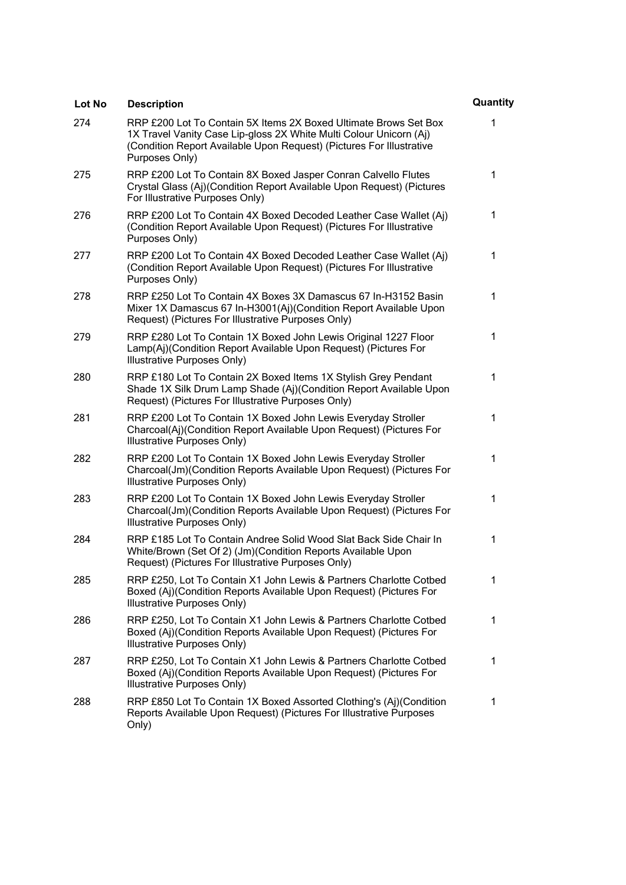| Lot No | <b>Description</b>                                                                                                                                                                                                               | Quantity |
|--------|----------------------------------------------------------------------------------------------------------------------------------------------------------------------------------------------------------------------------------|----------|
| 274    | RRP £200 Lot To Contain 5X Items 2X Boxed Ultimate Brows Set Box<br>1X Travel Vanity Case Lip-gloss 2X White Multi Colour Unicorn (Aj)<br>(Condition Report Available Upon Request) (Pictures For Illustrative<br>Purposes Only) | 1        |
| 275    | RRP £200 Lot To Contain 8X Boxed Jasper Conran Calvello Flutes<br>Crystal Glass (Aj)(Condition Report Available Upon Request) (Pictures<br>For Illustrative Purposes Only)                                                       | 1        |
| 276    | RRP £200 Lot To Contain 4X Boxed Decoded Leather Case Wallet (Aj)<br>(Condition Report Available Upon Request) (Pictures For Illustrative<br>Purposes Only)                                                                      | 1        |
| 277    | RRP £200 Lot To Contain 4X Boxed Decoded Leather Case Wallet (Aj)<br>(Condition Report Available Upon Request) (Pictures For Illustrative<br>Purposes Only)                                                                      | 1        |
| 278    | RRP £250 Lot To Contain 4X Boxes 3X Damascus 67 In-H3152 Basin<br>Mixer 1X Damascus 67 In-H3001(Aj)(Condition Report Available Upon<br>Request) (Pictures For Illustrative Purposes Only)                                        | 1        |
| 279    | RRP £280 Lot To Contain 1X Boxed John Lewis Original 1227 Floor<br>Lamp(Aj)(Condition Report Available Upon Request) (Pictures For<br>Illustrative Purposes Only)                                                                | 1        |
| 280    | RRP £180 Lot To Contain 2X Boxed Items 1X Stylish Grey Pendant<br>Shade 1X Silk Drum Lamp Shade (Aj)(Condition Report Available Upon<br>Request) (Pictures For Illustrative Purposes Only)                                       | 1        |
| 281    | RRP £200 Lot To Contain 1X Boxed John Lewis Everyday Stroller<br>Charcoal(Aj)(Condition Report Available Upon Request) (Pictures For<br>Illustrative Purposes Only)                                                              | 1        |
| 282    | RRP £200 Lot To Contain 1X Boxed John Lewis Everyday Stroller<br>Charcoal(Jm)(Condition Reports Available Upon Request) (Pictures For<br>Illustrative Purposes Only)                                                             | 1        |
| 283    | RRP £200 Lot To Contain 1X Boxed John Lewis Everyday Stroller<br>Charcoal(Jm)(Condition Reports Available Upon Request) (Pictures For<br>Illustrative Purposes Only)                                                             | 1        |
| 284    | RRP £185 Lot To Contain Andree Solid Wood Slat Back Side Chair In<br>White/Brown (Set Of 2) (Jm)(Condition Reports Available Upon<br>Request) (Pictures For Illustrative Purposes Only)                                          | 1        |
| 285    | RRP £250, Lot To Contain X1 John Lewis & Partners Charlotte Cotbed<br>Boxed (Aj)(Condition Reports Available Upon Request) (Pictures For<br>Illustrative Purposes Only)                                                          | 1        |
| 286    | RRP £250, Lot To Contain X1 John Lewis & Partners Charlotte Cotbed<br>Boxed (Aj)(Condition Reports Available Upon Request) (Pictures For<br>Illustrative Purposes Only)                                                          | 1        |
| 287    | RRP £250, Lot To Contain X1 John Lewis & Partners Charlotte Cotbed<br>Boxed (Aj)(Condition Reports Available Upon Request) (Pictures For<br>Illustrative Purposes Only)                                                          | 1        |
| 288    | RRP £850 Lot To Contain 1X Boxed Assorted Clothing's (Aj)(Condition<br>Reports Available Upon Request) (Pictures For Illustrative Purposes<br>Only)                                                                              | 1        |
|        |                                                                                                                                                                                                                                  |          |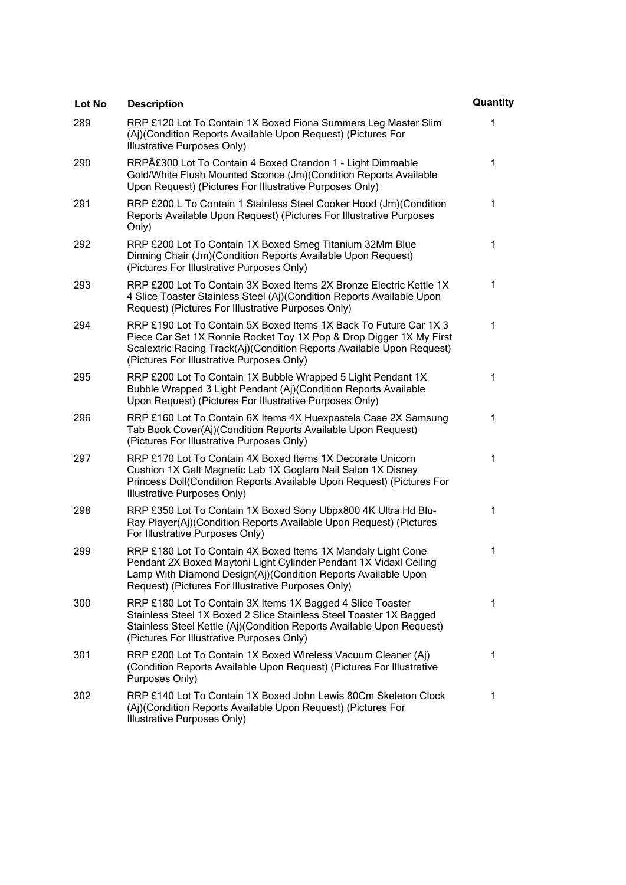| Lot No | <b>Description</b>                                                                                                                                                                                                                                             | Quantity |
|--------|----------------------------------------------------------------------------------------------------------------------------------------------------------------------------------------------------------------------------------------------------------------|----------|
| 289    | RRP £120 Lot To Contain 1X Boxed Fiona Summers Leg Master Slim<br>(Aj)(Condition Reports Available Upon Request) (Pictures For<br>Illustrative Purposes Only)                                                                                                  | 1        |
| 290    | RRP£300 Lot To Contain 4 Boxed Crandon 1 - Light Dimmable<br>Gold/White Flush Mounted Sconce (Jm)(Condition Reports Available<br>Upon Request) (Pictures For Illustrative Purposes Only)                                                                       | 1        |
| 291    | RRP £200 L To Contain 1 Stainless Steel Cooker Hood (Jm) (Condition<br>Reports Available Upon Request) (Pictures For Illustrative Purposes<br>Only)                                                                                                            | 1        |
| 292    | RRP £200 Lot To Contain 1X Boxed Smeg Titanium 32Mm Blue<br>Dinning Chair (Jm) (Condition Reports Available Upon Request)<br>(Pictures For Illustrative Purposes Only)                                                                                         | 1        |
| 293    | RRP £200 Lot To Contain 3X Boxed Items 2X Bronze Electric Kettle 1X<br>4 Slice Toaster Stainless Steel (Aj)(Condition Reports Available Upon<br>Request) (Pictures For Illustrative Purposes Only)                                                             | 1        |
| 294    | RRP £190 Lot To Contain 5X Boxed Items 1X Back To Future Car 1X 3<br>Piece Car Set 1X Ronnie Rocket Toy 1X Pop & Drop Digger 1X My First<br>Scalextric Racing Track(Aj)(Condition Reports Available Upon Request)<br>(Pictures For Illustrative Purposes Only) | 1        |
| 295    | RRP £200 Lot To Contain 1X Bubble Wrapped 5 Light Pendant 1X<br>Bubble Wrapped 3 Light Pendant (Aj)(Condition Reports Available<br>Upon Request) (Pictures For Illustrative Purposes Only)                                                                     | 1        |
| 296    | RRP £160 Lot To Contain 6X Items 4X Huexpastels Case 2X Samsung<br>Tab Book Cover(Aj)(Condition Reports Available Upon Request)<br>(Pictures For Illustrative Purposes Only)                                                                                   | 1        |
| 297    | RRP £170 Lot To Contain 4X Boxed Items 1X Decorate Unicorn<br>Cushion 1X Galt Magnetic Lab 1X Goglam Nail Salon 1X Disney<br>Princess Doll(Condition Reports Available Upon Request) (Pictures For<br>Illustrative Purposes Only)                              | 1        |
| 298    | RRP £350 Lot To Contain 1X Boxed Sony Ubpx800 4K Ultra Hd Blu-<br>Ray Player(Aj)(Condition Reports Available Upon Request) (Pictures<br>For Illustrative Purposes Only)                                                                                        | 1        |
| 299    | RRP £180 Lot To Contain 4X Boxed Items 1X Mandaly Light Cone<br>Pendant 2X Boxed Maytoni Light Cylinder Pendant 1X Vidaxl Ceiling<br>Lamp With Diamond Design(Aj)(Condition Reports Available Upon<br>Request) (Pictures For Illustrative Purposes Only)       | 1        |
| 300    | RRP £180 Lot To Contain 3X Items 1X Bagged 4 Slice Toaster<br>Stainless Steel 1X Boxed 2 Slice Stainless Steel Toaster 1X Bagged<br>Stainless Steel Kettle (Aj)(Condition Reports Available Upon Request)<br>(Pictures For Illustrative Purposes Only)         | 1        |
| 301    | RRP £200 Lot To Contain 1X Boxed Wireless Vacuum Cleaner (Aj)<br>(Condition Reports Available Upon Request) (Pictures For Illustrative<br>Purposes Only)                                                                                                       | 1        |
| 302    | RRP £140 Lot To Contain 1X Boxed John Lewis 80Cm Skeleton Clock<br>(Aj)(Condition Reports Available Upon Request) (Pictures For<br>Illustrative Purposes Only)                                                                                                 | 1        |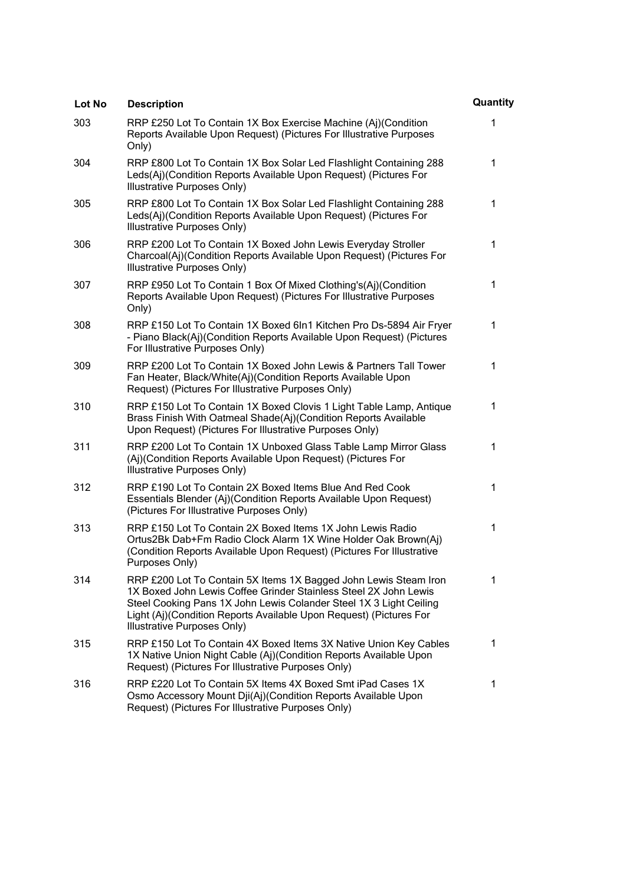| Lot No | <b>Description</b>                                                                                                                                                                                                                                                                                              | Quantity |
|--------|-----------------------------------------------------------------------------------------------------------------------------------------------------------------------------------------------------------------------------------------------------------------------------------------------------------------|----------|
| 303    | RRP £250 Lot To Contain 1X Box Exercise Machine (Aj)(Condition<br>Reports Available Upon Request) (Pictures For Illustrative Purposes<br>Only)                                                                                                                                                                  | 1        |
| 304    | RRP £800 Lot To Contain 1X Box Solar Led Flashlight Containing 288<br>Leds(Aj)(Condition Reports Available Upon Request) (Pictures For<br>Illustrative Purposes Only)                                                                                                                                           | 1        |
| 305    | RRP £800 Lot To Contain 1X Box Solar Led Flashlight Containing 288<br>Leds(Aj)(Condition Reports Available Upon Request) (Pictures For<br>Illustrative Purposes Only)                                                                                                                                           | 1        |
| 306    | RRP £200 Lot To Contain 1X Boxed John Lewis Everyday Stroller<br>Charcoal(Aj)(Condition Reports Available Upon Request) (Pictures For<br>Illustrative Purposes Only)                                                                                                                                            | 1        |
| 307    | RRP £950 Lot To Contain 1 Box Of Mixed Clothing's(Aj)(Condition<br>Reports Available Upon Request) (Pictures For Illustrative Purposes<br>Only)                                                                                                                                                                 | 1        |
| 308    | RRP £150 Lot To Contain 1X Boxed 6In1 Kitchen Pro Ds-5894 Air Fryer<br>- Piano Black(Aj)(Condition Reports Available Upon Request) (Pictures<br>For Illustrative Purposes Only)                                                                                                                                 | 1        |
| 309    | RRP £200 Lot To Contain 1X Boxed John Lewis & Partners Tall Tower<br>Fan Heater, Black/White(Aj)(Condition Reports Available Upon<br>Request) (Pictures For Illustrative Purposes Only)                                                                                                                         | 1        |
| 310    | RRP £150 Lot To Contain 1X Boxed Clovis 1 Light Table Lamp, Antique<br>Brass Finish With Oatmeal Shade(Aj)(Condition Reports Available<br>Upon Request) (Pictures For Illustrative Purposes Only)                                                                                                               | 1        |
| 311    | RRP £200 Lot To Contain 1X Unboxed Glass Table Lamp Mirror Glass<br>(Aj)(Condition Reports Available Upon Request) (Pictures For<br>Illustrative Purposes Only)                                                                                                                                                 | 1        |
| 312    | RRP £190 Lot To Contain 2X Boxed Items Blue And Red Cook<br>Essentials Blender (Aj)(Condition Reports Available Upon Request)<br>(Pictures For Illustrative Purposes Only)                                                                                                                                      | 1        |
| 313    | RRP £150 Lot To Contain 2X Boxed Items 1X John Lewis Radio<br>Ortus2Bk Dab+Fm Radio Clock Alarm 1X Wine Holder Oak Brown(Aj)<br>(Condition Reports Available Upon Request) (Pictures For Illustrative<br>Purposes Only)                                                                                         | 1        |
| 314    | RRP £200 Lot To Contain 5X Items 1X Bagged John Lewis Steam Iron<br>1X Boxed John Lewis Coffee Grinder Stainless Steel 2X John Lewis<br>Steel Cooking Pans 1X John Lewis Colander Steel 1X 3 Light Ceiling<br>Light (Aj)(Condition Reports Available Upon Request) (Pictures For<br>Illustrative Purposes Only) | 1        |
| 315    | RRP £150 Lot To Contain 4X Boxed Items 3X Native Union Key Cables<br>1X Native Union Night Cable (Aj)(Condition Reports Available Upon<br>Request) (Pictures For Illustrative Purposes Only)                                                                                                                    | 1        |
| 316    | RRP £220 Lot To Contain 5X Items 4X Boxed Smt iPad Cases 1X<br>Osmo Accessory Mount Dji(Aj)(Condition Reports Available Upon<br>Request) (Pictures For Illustrative Purposes Only)                                                                                                                              | 1        |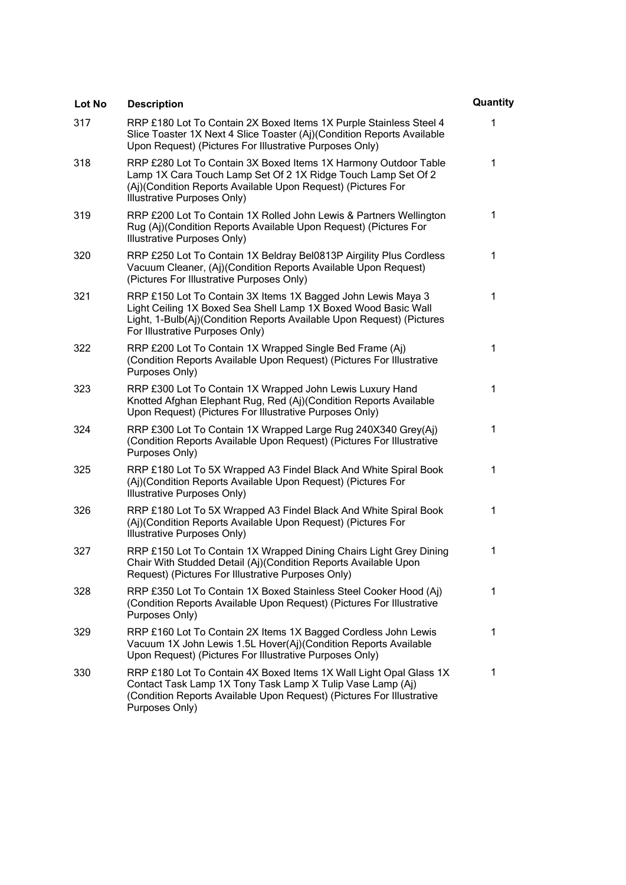| Lot No | <b>Description</b>                                                                                                                                                                                                                         | Quantity |
|--------|--------------------------------------------------------------------------------------------------------------------------------------------------------------------------------------------------------------------------------------------|----------|
| 317    | RRP £180 Lot To Contain 2X Boxed Items 1X Purple Stainless Steel 4<br>Slice Toaster 1X Next 4 Slice Toaster (Aj)(Condition Reports Available<br>Upon Request) (Pictures For Illustrative Purposes Only)                                    | 1        |
| 318    | RRP £280 Lot To Contain 3X Boxed Items 1X Harmony Outdoor Table<br>Lamp 1X Cara Touch Lamp Set Of 2 1X Ridge Touch Lamp Set Of 2<br>(Aj)(Condition Reports Available Upon Request) (Pictures For<br>Illustrative Purposes Only)            | 1        |
| 319    | RRP £200 Lot To Contain 1X Rolled John Lewis & Partners Wellington<br>Rug (Aj)(Condition Reports Available Upon Request) (Pictures For<br>Illustrative Purposes Only)                                                                      | 1        |
| 320    | RRP £250 Lot To Contain 1X Beldray Bel0813P Airgility Plus Cordless<br>Vacuum Cleaner, (Aj)(Condition Reports Available Upon Request)<br>(Pictures For Illustrative Purposes Only)                                                         | 1        |
| 321    | RRP £150 Lot To Contain 3X Items 1X Bagged John Lewis Maya 3<br>Light Ceiling 1X Boxed Sea Shell Lamp 1X Boxed Wood Basic Wall<br>Light, 1-Bulb(Aj)(Condition Reports Available Upon Request) (Pictures<br>For Illustrative Purposes Only) | 1        |
| 322    | RRP £200 Lot To Contain 1X Wrapped Single Bed Frame (Aj)<br>(Condition Reports Available Upon Request) (Pictures For Illustrative<br>Purposes Only)                                                                                        | 1        |
| 323    | RRP £300 Lot To Contain 1X Wrapped John Lewis Luxury Hand<br>Knotted Afghan Elephant Rug, Red (Aj)(Condition Reports Available<br>Upon Request) (Pictures For Illustrative Purposes Only)                                                  | 1        |
| 324    | RRP £300 Lot To Contain 1X Wrapped Large Rug 240X340 Grey(Aj)<br>(Condition Reports Available Upon Request) (Pictures For Illustrative<br>Purposes Only)                                                                                   | 1        |
| 325    | RRP £180 Lot To 5X Wrapped A3 Findel Black And White Spiral Book<br>(Aj)(Condition Reports Available Upon Request) (Pictures For<br>Illustrative Purposes Only)                                                                            | 1        |
| 326    | RRP £180 Lot To 5X Wrapped A3 Findel Black And White Spiral Book<br>(Aj)(Condition Reports Available Upon Request) (Pictures For<br>Illustrative Purposes Only)                                                                            | 1        |
| 327    | RRP £150 Lot To Contain 1X Wrapped Dining Chairs Light Grey Dining<br>Chair With Studded Detail (Aj)(Condition Reports Available Upon<br>Request) (Pictures For Illustrative Purposes Only)                                                | 1        |
| 328    | RRP £350 Lot To Contain 1X Boxed Stainless Steel Cooker Hood (Aj)<br>(Condition Reports Available Upon Request) (Pictures For Illustrative<br>Purposes Only)                                                                               | 1        |
| 329    | RRP £160 Lot To Contain 2X Items 1X Bagged Cordless John Lewis<br>Vacuum 1X John Lewis 1.5L Hover(Aj)(Condition Reports Available<br>Upon Request) (Pictures For Illustrative Purposes Only)                                               | 1        |
| 330    | RRP £180 Lot To Contain 4X Boxed Items 1X Wall Light Opal Glass 1X<br>Contact Task Lamp 1X Tony Task Lamp X Tulip Vase Lamp (Aj)<br>(Condition Reports Available Upon Request) (Pictures For Illustrative<br>Purposes Only)                | 1        |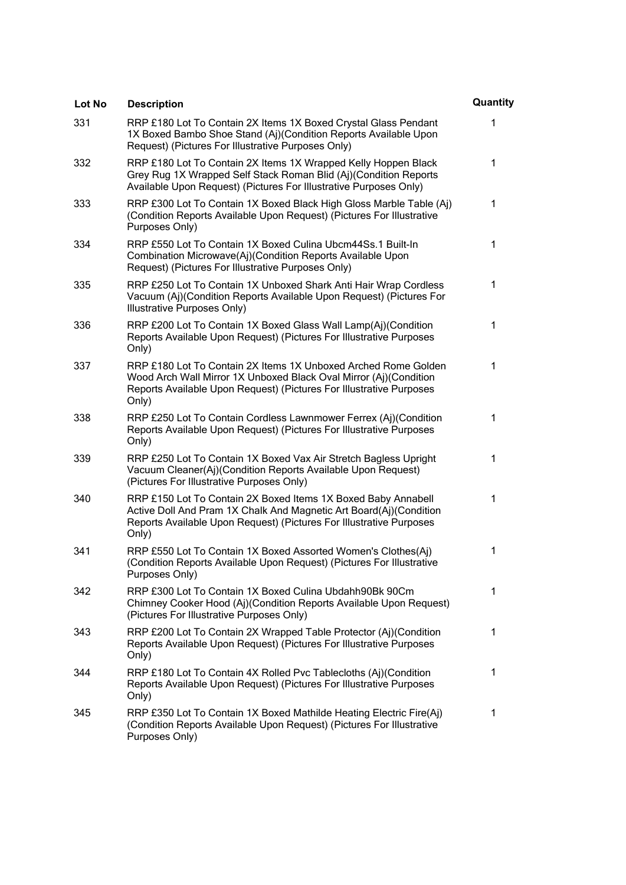| Lot No | <b>Description</b>                                                                                                                                                                                                  | Quantity |
|--------|---------------------------------------------------------------------------------------------------------------------------------------------------------------------------------------------------------------------|----------|
| 331    | RRP £180 Lot To Contain 2X Items 1X Boxed Crystal Glass Pendant<br>1X Boxed Bambo Shoe Stand (Aj)(Condition Reports Available Upon<br>Request) (Pictures For Illustrative Purposes Only)                            | 1        |
| 332    | RRP £180 Lot To Contain 2X Items 1X Wrapped Kelly Hoppen Black<br>Grey Rug 1X Wrapped Self Stack Roman Blid (Aj)(Condition Reports<br>Available Upon Request) (Pictures For Illustrative Purposes Only)             | 1        |
| 333    | RRP £300 Lot To Contain 1X Boxed Black High Gloss Marble Table (Aj)<br>(Condition Reports Available Upon Request) (Pictures For Illustrative<br>Purposes Only)                                                      | 1        |
| 334    | RRP £550 Lot To Contain 1X Boxed Culina Ubcm44Ss.1 Built-In<br>Combination Microwave(Aj)(Condition Reports Available Upon<br>Request) (Pictures For Illustrative Purposes Only)                                     | 1        |
| 335    | RRP £250 Lot To Contain 1X Unboxed Shark Anti Hair Wrap Cordless<br>Vacuum (Aj)(Condition Reports Available Upon Request) (Pictures For<br>Illustrative Purposes Only)                                              | 1        |
| 336    | RRP £200 Lot To Contain 1X Boxed Glass Wall Lamp(Aj)(Condition<br>Reports Available Upon Request) (Pictures For Illustrative Purposes<br>Only)                                                                      | 1        |
| 337    | RRP £180 Lot To Contain 2X Items 1X Unboxed Arched Rome Golden<br>Wood Arch Wall Mirror 1X Unboxed Black Oval Mirror (Aj)(Condition<br>Reports Available Upon Request) (Pictures For Illustrative Purposes<br>Only) | 1        |
| 338    | RRP £250 Lot To Contain Cordless Lawnmower Ferrex (Aj)(Condition<br>Reports Available Upon Request) (Pictures For Illustrative Purposes<br>Only)                                                                    | 1        |
| 339    | RRP £250 Lot To Contain 1X Boxed Vax Air Stretch Bagless Upright<br>Vacuum Cleaner(Aj)(Condition Reports Available Upon Request)<br>(Pictures For Illustrative Purposes Only)                                       | 1        |
| 340    | RRP £150 Lot To Contain 2X Boxed Items 1X Boxed Baby Annabell<br>Active Doll And Pram 1X Chalk And Magnetic Art Board(Aj)(Condition<br>Reports Available Upon Request) (Pictures For Illustrative Purposes<br>Only) | 1        |
| 341    | RRP £550 Lot To Contain 1X Boxed Assorted Women's Clothes(Aj)<br>(Condition Reports Available Upon Request) (Pictures For Illustrative<br>Purposes Only)                                                            | 1        |
| 342    | RRP £300 Lot To Contain 1X Boxed Culina Ubdahh90Bk 90Cm<br>Chimney Cooker Hood (Aj)(Condition Reports Available Upon Request)<br>(Pictures For Illustrative Purposes Only)                                          | 1        |
| 343    | RRP £200 Lot To Contain 2X Wrapped Table Protector (Aj)(Condition<br>Reports Available Upon Request) (Pictures For Illustrative Purposes<br>Only)                                                                   | 1        |
| 344    | RRP £180 Lot To Contain 4X Rolled Pvc Tablecloths (Aj)(Condition<br>Reports Available Upon Request) (Pictures For Illustrative Purposes<br>Only)                                                                    | 1        |
| 345    | RRP £350 Lot To Contain 1X Boxed Mathilde Heating Electric Fire(Aj)<br>(Condition Reports Available Upon Request) (Pictures For Illustrative<br>Purposes Only)                                                      | 1        |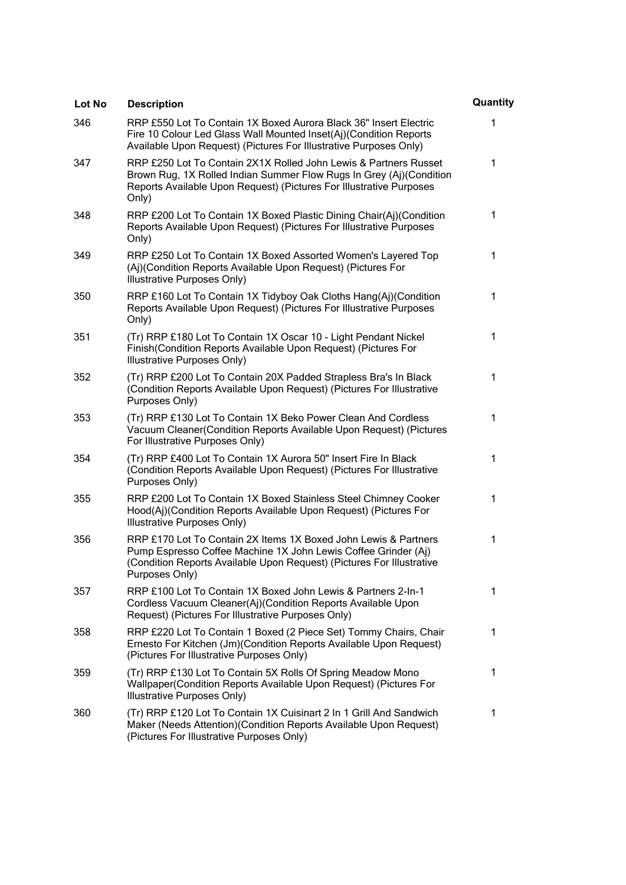| <b>Lot No</b> | <b>Description</b>                                                                                                                                                                                                           | Quantity |
|---------------|------------------------------------------------------------------------------------------------------------------------------------------------------------------------------------------------------------------------------|----------|
| 346           | RRP £550 Lot To Contain 1X Boxed Aurora Black 36" Insert Electric<br>Fire 10 Colour Led Glass Wall Mounted Inset(Aj)(Condition Reports<br>Available Upon Request) (Pictures For Illustrative Purposes Only)                  | 1        |
| 347           | RRP £250 Lot To Contain 2X1X Rolled John Lewis & Partners Russet<br>Brown Rug, 1X Rolled Indian Summer Flow Rugs In Grey (Aj)(Condition<br>Reports Available Upon Request) (Pictures For Illustrative Purposes<br>Only)      | 1        |
| 348           | RRP £200 Lot To Contain 1X Boxed Plastic Dining Chair(Aj)(Condition<br>Reports Available Upon Request) (Pictures For Illustrative Purposes<br>Only)                                                                          | 1        |
| 349           | RRP £250 Lot To Contain 1X Boxed Assorted Women's Layered Top<br>(Aj)(Condition Reports Available Upon Request) (Pictures For<br>Illustrative Purposes Only)                                                                 | 1        |
| 350           | RRP £160 Lot To Contain 1X Tidyboy Oak Cloths Hang(Aj)(Condition<br>Reports Available Upon Request) (Pictures For Illustrative Purposes<br>Only)                                                                             | 1        |
| 351           | (Tr) RRP £180 Lot To Contain 1X Oscar 10 - Light Pendant Nickel<br>Finish (Condition Reports Available Upon Request) (Pictures For<br>Illustrative Purposes Only)                                                            | 1        |
| 352           | (Tr) RRP £200 Lot To Contain 20X Padded Strapless Bra's In Black<br>(Condition Reports Available Upon Request) (Pictures For Illustrative<br>Purposes Only)                                                                  | 1        |
| 353           | (Tr) RRP £130 Lot To Contain 1X Beko Power Clean And Cordless<br>Vacuum Cleaner(Condition Reports Available Upon Request) (Pictures<br>For Illustrative Purposes Only)                                                       | 1        |
| 354           | (Tr) RRP £400 Lot To Contain 1X Aurora 50" Insert Fire In Black<br>(Condition Reports Available Upon Request) (Pictures For Illustrative<br>Purposes Only)                                                                   | 1        |
| 355           | RRP £200 Lot To Contain 1X Boxed Stainless Steel Chimney Cooker<br>Hood(Aj)(Condition Reports Available Upon Request) (Pictures For<br>Illustrative Purposes Only)                                                           | 1        |
| 356           | RRP £170 Lot To Contain 2X Items 1X Boxed John Lewis & Partners<br>Pump Espresso Coffee Machine 1X John Lewis Coffee Grinder (Aj)<br>(Condition Reports Available Upon Request) (Pictures For Illustrative<br>Purposes Only) | 1        |
| 357           | RRP £100 Lot To Contain 1X Boxed John Lewis & Partners 2-In-1<br>Cordless Vacuum Cleaner(Aj)(Condition Reports Available Upon<br>Request) (Pictures For Illustrative Purposes Only)                                          | 1        |
| 358           | RRP £220 Lot To Contain 1 Boxed (2 Piece Set) Tommy Chairs, Chair<br>Ernesto For Kitchen (Jm)(Condition Reports Available Upon Request)<br>(Pictures For Illustrative Purposes Only)                                         | 1        |
| 359           | (Tr) RRP £130 Lot To Contain 5X Rolls Of Spring Meadow Mono<br>Wallpaper(Condition Reports Available Upon Request) (Pictures For<br>Illustrative Purposes Only)                                                              | 1        |
| 360           | (Tr) RRP £120 Lot To Contain 1X Cuisinart 2 In 1 Grill And Sandwich<br>Maker (Needs Attention) (Condition Reports Available Upon Request)<br>(Pictures For Illustrative Purposes Only)                                       | 1        |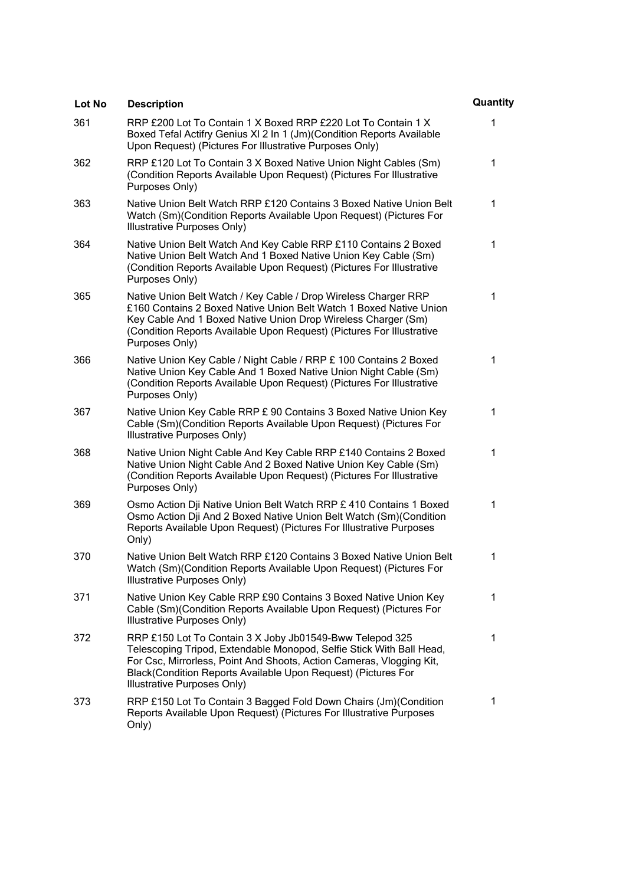| Lot No | <b>Description</b>                                                                                                                                                                                                                                                                                       | Quantity |
|--------|----------------------------------------------------------------------------------------------------------------------------------------------------------------------------------------------------------------------------------------------------------------------------------------------------------|----------|
| 361    | RRP £200 Lot To Contain 1 X Boxed RRP £220 Lot To Contain 1 X<br>Boxed Tefal Actifry Genius XI 2 In 1 (Jm) (Condition Reports Available<br>Upon Request) (Pictures For Illustrative Purposes Only)                                                                                                       | 1        |
| 362    | RRP £120 Lot To Contain 3 X Boxed Native Union Night Cables (Sm)<br>(Condition Reports Available Upon Request) (Pictures For Illustrative<br>Purposes Only)                                                                                                                                              | 1        |
| 363    | Native Union Belt Watch RRP £120 Contains 3 Boxed Native Union Belt<br>Watch (Sm)(Condition Reports Available Upon Request) (Pictures For<br>Illustrative Purposes Only)                                                                                                                                 | 1        |
| 364    | Native Union Belt Watch And Key Cable RRP £110 Contains 2 Boxed<br>Native Union Belt Watch And 1 Boxed Native Union Key Cable (Sm)<br>(Condition Reports Available Upon Request) (Pictures For Illustrative<br>Purposes Only)                                                                            | 1        |
| 365    | Native Union Belt Watch / Key Cable / Drop Wireless Charger RRP<br>£160 Contains 2 Boxed Native Union Belt Watch 1 Boxed Native Union<br>Key Cable And 1 Boxed Native Union Drop Wireless Charger (Sm)<br>(Condition Reports Available Upon Request) (Pictures For Illustrative<br>Purposes Only)        | 1        |
| 366    | Native Union Key Cable / Night Cable / RRP £ 100 Contains 2 Boxed<br>Native Union Key Cable And 1 Boxed Native Union Night Cable (Sm)<br>(Condition Reports Available Upon Request) (Pictures For Illustrative<br>Purposes Only)                                                                         | 1        |
| 367    | Native Union Key Cable RRP £ 90 Contains 3 Boxed Native Union Key<br>Cable (Sm)(Condition Reports Available Upon Request) (Pictures For<br>Illustrative Purposes Only)                                                                                                                                   | 1        |
| 368    | Native Union Night Cable And Key Cable RRP £140 Contains 2 Boxed<br>Native Union Night Cable And 2 Boxed Native Union Key Cable (Sm)<br>(Condition Reports Available Upon Request) (Pictures For Illustrative<br>Purposes Only)                                                                          | 1        |
| 369    | Osmo Action Dji Native Union Belt Watch RRP £ 410 Contains 1 Boxed<br>Osmo Action Dji And 2 Boxed Native Union Belt Watch (Sm) (Condition<br>Reports Available Upon Request) (Pictures For Illustrative Purposes<br>Only)                                                                                | 1        |
| 370    | Native Union Belt Watch RRP £120 Contains 3 Boxed Native Union Belt<br>Watch (Sm)(Condition Reports Available Upon Request) (Pictures For<br>Illustrative Purposes Only)                                                                                                                                 | 1        |
| 371    | Native Union Key Cable RRP £90 Contains 3 Boxed Native Union Key<br>Cable (Sm)(Condition Reports Available Upon Request) (Pictures For<br>Illustrative Purposes Only)                                                                                                                                    | 1        |
| 372    | RRP £150 Lot To Contain 3 X Joby Jb01549-Bww Telepod 325<br>Telescoping Tripod, Extendable Monopod, Selfie Stick With Ball Head,<br>For Csc, Mirrorless, Point And Shoots, Action Cameras, Vlogging Kit,<br>Black(Condition Reports Available Upon Request) (Pictures For<br>Illustrative Purposes Only) | 1        |
| 373    | RRP £150 Lot To Contain 3 Bagged Fold Down Chairs (Jm) (Condition<br>Reports Available Upon Request) (Pictures For Illustrative Purposes<br>Only)                                                                                                                                                        | 1        |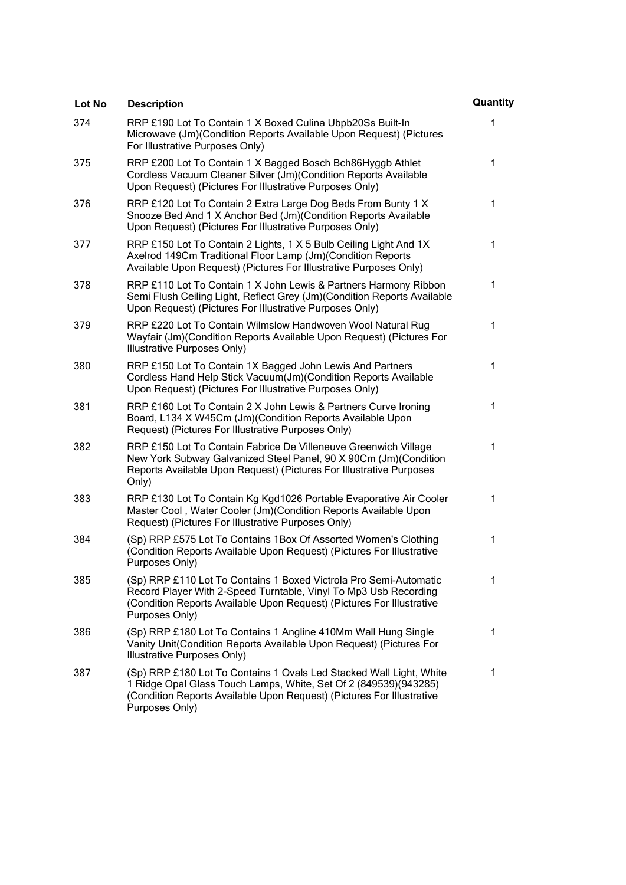| Lot No | <b>Description</b>                                                                                                                                                                                                                 | Quantity |
|--------|------------------------------------------------------------------------------------------------------------------------------------------------------------------------------------------------------------------------------------|----------|
| 374    | RRP £190 Lot To Contain 1 X Boxed Culina Ubpb20Ss Built-In<br>Microwave (Jm)(Condition Reports Available Upon Request) (Pictures<br>For Illustrative Purposes Only)                                                                | 1        |
| 375    | RRP £200 Lot To Contain 1 X Bagged Bosch Bch86Hyggb Athlet<br>Cordless Vacuum Cleaner Silver (Jm) (Condition Reports Available<br>Upon Request) (Pictures For Illustrative Purposes Only)                                          | 1        |
| 376    | RRP £120 Lot To Contain 2 Extra Large Dog Beds From Bunty 1 X<br>Snooze Bed And 1 X Anchor Bed (Jm)(Condition Reports Available<br>Upon Request) (Pictures For Illustrative Purposes Only)                                         | 1        |
| 377    | RRP £150 Lot To Contain 2 Lights, 1 X 5 Bulb Ceiling Light And 1X<br>Axelrod 149Cm Traditional Floor Lamp (Jm)(Condition Reports<br>Available Upon Request) (Pictures For Illustrative Purposes Only)                              | 1        |
| 378    | RRP £110 Lot To Contain 1 X John Lewis & Partners Harmony Ribbon<br>Semi Flush Ceiling Light, Reflect Grey (Jm)(Condition Reports Available<br>Upon Request) (Pictures For Illustrative Purposes Only)                             | 1        |
| 379    | RRP £220 Lot To Contain Wilmslow Handwoven Wool Natural Rug<br>Wayfair (Jm)(Condition Reports Available Upon Request) (Pictures For<br>Illustrative Purposes Only)                                                                 | 1        |
| 380    | RRP £150 Lot To Contain 1X Bagged John Lewis And Partners<br>Cordless Hand Help Stick Vacuum(Jm)(Condition Reports Available<br>Upon Request) (Pictures For Illustrative Purposes Only)                                            | 1        |
| 381    | RRP £160 Lot To Contain 2 X John Lewis & Partners Curve Ironing<br>Board, L134 X W45Cm (Jm)(Condition Reports Available Upon<br>Request) (Pictures For Illustrative Purposes Only)                                                 | 1        |
| 382    | RRP £150 Lot To Contain Fabrice De Villeneuve Greenwich Village<br>New York Subway Galvanized Steel Panel, 90 X 90Cm (Jm)(Condition<br>Reports Available Upon Request) (Pictures For Illustrative Purposes<br>Only)                | 1        |
| 383    | RRP £130 Lot To Contain Kg Kgd1026 Portable Evaporative Air Cooler<br>Master Cool, Water Cooler (Jm) (Condition Reports Available Upon<br>Request) (Pictures For Illustrative Purposes Only)                                       | 1        |
| 384    | (Sp) RRP £575 Lot To Contains 1Box Of Assorted Women's Clothing<br>(Condition Reports Available Upon Request) (Pictures For Illustrative<br>Purposes Only)                                                                         | 1        |
| 385    | (Sp) RRP £110 Lot To Contains 1 Boxed Victrola Pro Semi-Automatic<br>Record Player With 2-Speed Turntable, Vinyl To Mp3 Usb Recording<br>(Condition Reports Available Upon Request) (Pictures For Illustrative<br>Purposes Only)   | 1        |
| 386    | (Sp) RRP £180 Lot To Contains 1 Angline 410Mm Wall Hung Single<br>Vanity Unit(Condition Reports Available Upon Request) (Pictures For<br>Illustrative Purposes Only)                                                               | 1        |
| 387    | (Sp) RRP £180 Lot To Contains 1 Ovals Led Stacked Wall Light, White<br>1 Ridge Opal Glass Touch Lamps, White, Set Of 2 (849539)(943285)<br>(Condition Reports Available Upon Request) (Pictures For Illustrative<br>Purposes Only) | 1        |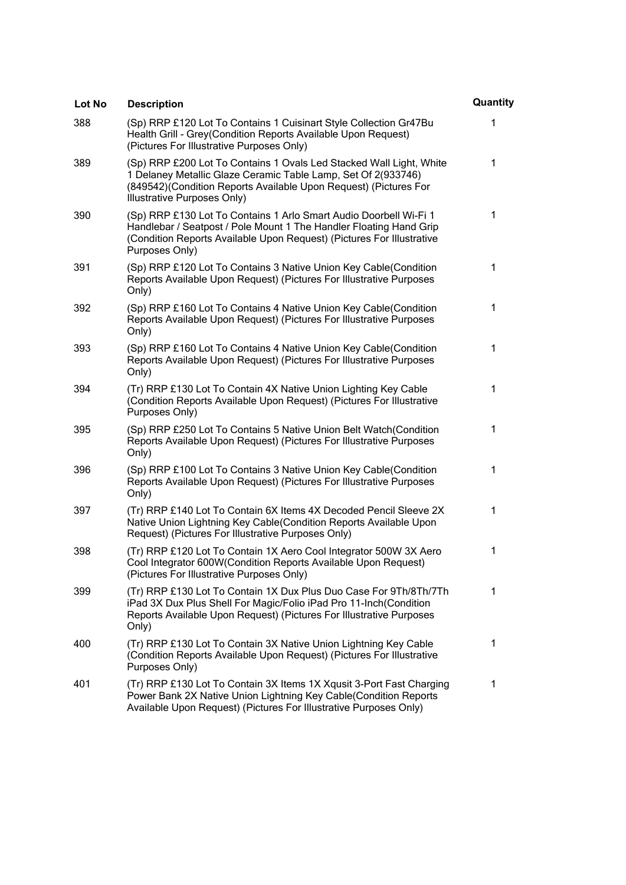| Lot No | <b>Description</b>                                                                                                                                                                                                                       | Quantity |
|--------|------------------------------------------------------------------------------------------------------------------------------------------------------------------------------------------------------------------------------------------|----------|
| 388    | (Sp) RRP £120 Lot To Contains 1 Cuisinart Style Collection Gr47Bu<br>Health Grill - Grey(Condition Reports Available Upon Request)<br>(Pictures For Illustrative Purposes Only)                                                          | 1        |
| 389    | (Sp) RRP £200 Lot To Contains 1 Ovals Led Stacked Wall Light, White<br>1 Delaney Metallic Glaze Ceramic Table Lamp, Set Of 2(933746)<br>(849542) (Condition Reports Available Upon Request) (Pictures For<br>Illustrative Purposes Only) | 1        |
| 390    | (Sp) RRP £130 Lot To Contains 1 Arlo Smart Audio Doorbell Wi-Fi 1<br>Handlebar / Seatpost / Pole Mount 1 The Handler Floating Hand Grip<br>(Condition Reports Available Upon Request) (Pictures For Illustrative<br>Purposes Only)       | 1        |
| 391    | (Sp) RRP £120 Lot To Contains 3 Native Union Key Cable(Condition<br>Reports Available Upon Request) (Pictures For Illustrative Purposes<br>Only)                                                                                         | 1        |
| 392    | (Sp) RRP £160 Lot To Contains 4 Native Union Key Cable(Condition<br>Reports Available Upon Request) (Pictures For Illustrative Purposes<br>Only)                                                                                         | 1        |
| 393    | (Sp) RRP £160 Lot To Contains 4 Native Union Key Cable(Condition<br>Reports Available Upon Request) (Pictures For Illustrative Purposes<br>Only)                                                                                         | 1        |
| 394    | (Tr) RRP £130 Lot To Contain 4X Native Union Lighting Key Cable<br>(Condition Reports Available Upon Request) (Pictures For Illustrative<br>Purposes Only)                                                                               | 1        |
| 395    | (Sp) RRP £250 Lot To Contains 5 Native Union Belt Watch(Condition<br>Reports Available Upon Request) (Pictures For Illustrative Purposes<br>Only)                                                                                        | 1        |
| 396    | (Sp) RRP £100 Lot To Contains 3 Native Union Key Cable(Condition<br>Reports Available Upon Request) (Pictures For Illustrative Purposes<br>Only)                                                                                         | 1        |
| 397    | (Tr) RRP £140 Lot To Contain 6X Items 4X Decoded Pencil Sleeve 2X<br>Native Union Lightning Key Cable(Condition Reports Available Upon<br>Request) (Pictures For Illustrative Purposes Only)                                             | 1        |
| 398    | (Tr) RRP £120 Lot To Contain 1X Aero Cool Integrator 500W 3X Aero<br>Cool Integrator 600W(Condition Reports Available Upon Request)<br>(Pictures For Illustrative Purposes Only)                                                         | 1        |
| 399    | (Tr) RRP £130 Lot To Contain 1X Dux Plus Duo Case For 9Th/8Th/7Th<br>iPad 3X Dux Plus Shell For Magic/Folio iPad Pro 11-Inch(Condition<br>Reports Available Upon Request) (Pictures For Illustrative Purposes<br>Only)                   | 1        |
| 400    | (Tr) RRP £130 Lot To Contain 3X Native Union Lightning Key Cable<br>(Condition Reports Available Upon Request) (Pictures For Illustrative<br>Purposes Only)                                                                              | 1        |
| 401    | (Tr) RRP £130 Lot To Contain 3X Items 1X Xqusit 3-Port Fast Charging<br>Power Bank 2X Native Union Lightning Key Cable(Condition Reports<br>Available Upon Request) (Pictures For Illustrative Purposes Only)                            | 1        |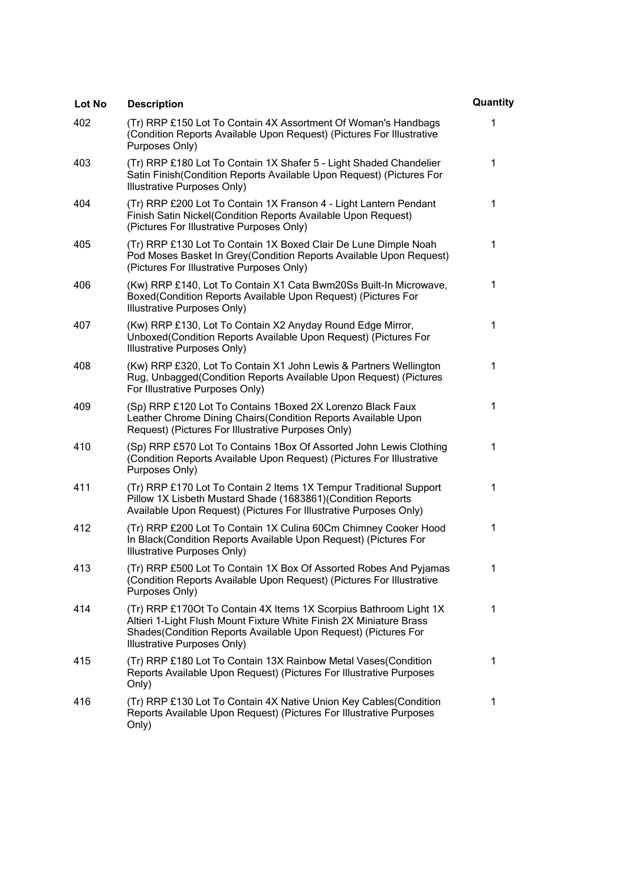| Lot No | <b>Description</b>                                                                                                                                                                                                                         | Quantity |
|--------|--------------------------------------------------------------------------------------------------------------------------------------------------------------------------------------------------------------------------------------------|----------|
| 402    | (Tr) RRP £150 Lot To Contain 4X Assortment Of Woman's Handbags<br>(Condition Reports Available Upon Request) (Pictures For Illustrative<br>Purposes Only)                                                                                  | 1        |
| 403    | (Tr) RRP £180 Lot To Contain 1X Shafer 5 - Light Shaded Chandelier<br>Satin Finish (Condition Reports Available Upon Request) (Pictures For<br>Illustrative Purposes Only)                                                                 | 1        |
| 404    | (Tr) RRP £200 Lot To Contain 1X Franson 4 - Light Lantern Pendant<br>Finish Satin Nickel(Condition Reports Available Upon Request)<br>(Pictures For Illustrative Purposes Only)                                                            | 1        |
| 405    | (Tr) RRP £130 Lot To Contain 1X Boxed Clair De Lune Dimple Noah<br>Pod Moses Basket In Grey (Condition Reports Available Upon Request)<br>(Pictures For Illustrative Purposes Only)                                                        | 1        |
| 406    | (Kw) RRP £140, Lot To Contain X1 Cata Bwm20Ss Built-In Microwave,<br>Boxed(Condition Reports Available Upon Request) (Pictures For<br>Illustrative Purposes Only)                                                                          | 1        |
| 407    | (Kw) RRP £130, Lot To Contain X2 Anyday Round Edge Mirror,<br>Unboxed(Condition Reports Available Upon Request) (Pictures For<br>Illustrative Purposes Only)                                                                               | 1        |
| 408    | (Kw) RRP £320, Lot To Contain X1 John Lewis & Partners Wellington<br>Rug, Unbagged (Condition Reports Available Upon Request) (Pictures<br>For Illustrative Purposes Only)                                                                 | 1        |
| 409    | (Sp) RRP £120 Lot To Contains 1Boxed 2X Lorenzo Black Faux<br>Leather Chrome Dining Chairs (Condition Reports Available Upon<br>Request) (Pictures For Illustrative Purposes Only)                                                         | 1        |
| 410    | (Sp) RRP £570 Lot To Contains 1Box Of Assorted John Lewis Clothing<br>(Condition Reports Available Upon Request) (Pictures For Illustrative<br>Purposes Only)                                                                              | 1        |
| 411    | (Tr) RRP £170 Lot To Contain 2 Items 1X Tempur Traditional Support<br>Pillow 1X Lisbeth Mustard Shade (1683861)(Condition Reports<br>Available Upon Request) (Pictures For Illustrative Purposes Only)                                     | 1        |
| 412    | (Tr) RRP £200 Lot To Contain 1X Culina 60Cm Chimney Cooker Hood<br>In Black(Condition Reports Available Upon Request) (Pictures For<br>Illustrative Purposes Only)                                                                         | 1        |
| 413    | (Tr) RRP £500 Lot To Contain 1X Box Of Assorted Robes And Pyjamas<br>(Condition Reports Available Upon Request) (Pictures For Illustrative<br>Purposes Only)                                                                               | 1        |
| 414    | (Tr) RRP £1700t To Contain 4X Items 1X Scorpius Bathroom Light 1X<br>Altieri 1-Light Flush Mount Fixture White Finish 2X Miniature Brass<br>Shades (Condition Reports Available Upon Request) (Pictures For<br>Illustrative Purposes Only) | 1        |
| 415    | (Tr) RRP £180 Lot To Contain 13X Rainbow Metal Vases(Condition<br>Reports Available Upon Request) (Pictures For Illustrative Purposes<br>Only)                                                                                             | 1        |
| 416    | (Tr) RRP £130 Lot To Contain 4X Native Union Key Cables(Condition<br>Reports Available Upon Request) (Pictures For Illustrative Purposes<br>Only)                                                                                          | 1        |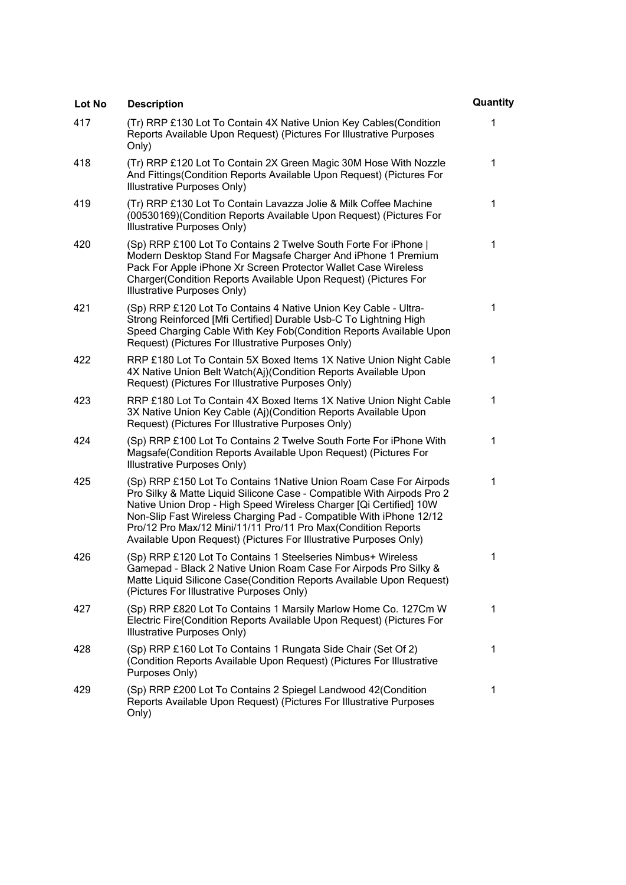| Lot No | <b>Description</b>                                                                                                                                                                                                                                                                                                                                                                                                            | Quantity |
|--------|-------------------------------------------------------------------------------------------------------------------------------------------------------------------------------------------------------------------------------------------------------------------------------------------------------------------------------------------------------------------------------------------------------------------------------|----------|
| 417    | (Tr) RRP £130 Lot To Contain 4X Native Union Key Cables (Condition<br>Reports Available Upon Request) (Pictures For Illustrative Purposes<br>Only)                                                                                                                                                                                                                                                                            | 1        |
| 418    | (Tr) RRP £120 Lot To Contain 2X Green Magic 30M Hose With Nozzle<br>And Fittings(Condition Reports Available Upon Request) (Pictures For<br>Illustrative Purposes Only)                                                                                                                                                                                                                                                       | 1        |
| 419    | (Tr) RRP £130 Lot To Contain Lavazza Jolie & Milk Coffee Machine<br>(00530169)(Condition Reports Available Upon Request) (Pictures For<br>Illustrative Purposes Only)                                                                                                                                                                                                                                                         | 1        |
| 420    | (Sp) RRP £100 Lot To Contains 2 Twelve South Forte For iPhone  <br>Modern Desktop Stand For Magsafe Charger And iPhone 1 Premium<br>Pack For Apple iPhone Xr Screen Protector Wallet Case Wireless<br>Charger (Condition Reports Available Upon Request) (Pictures For<br>Illustrative Purposes Only)                                                                                                                         | 1        |
| 421    | (Sp) RRP £120 Lot To Contains 4 Native Union Key Cable - Ultra-<br>Strong Reinforced [Mfi Certified] Durable Usb-C To Lightning High<br>Speed Charging Cable With Key Fob(Condition Reports Available Upon<br>Request) (Pictures For Illustrative Purposes Only)                                                                                                                                                              | 1        |
| 422    | RRP £180 Lot To Contain 5X Boxed Items 1X Native Union Night Cable<br>4X Native Union Belt Watch(Aj)(Condition Reports Available Upon<br>Request) (Pictures For Illustrative Purposes Only)                                                                                                                                                                                                                                   | 1        |
| 423    | RRP £180 Lot To Contain 4X Boxed Items 1X Native Union Night Cable<br>3X Native Union Key Cable (Aj)(Condition Reports Available Upon<br>Request) (Pictures For Illustrative Purposes Only)                                                                                                                                                                                                                                   | 1        |
| 424    | (Sp) RRP £100 Lot To Contains 2 Twelve South Forte For iPhone With<br>Magsafe(Condition Reports Available Upon Request) (Pictures For<br>Illustrative Purposes Only)                                                                                                                                                                                                                                                          | 1        |
| 425    | (Sp) RRP £150 Lot To Contains 1Native Union Roam Case For Airpods<br>Pro Silky & Matte Liquid Silicone Case - Compatible With Airpods Pro 2<br>Native Union Drop - High Speed Wireless Charger [Qi Certified] 10W<br>Non-Slip Fast Wireless Charging Pad - Compatible With iPhone 12/12<br>Pro/12 Pro Max/12 Mini/11/11 Pro/11 Pro Max(Condition Reports<br>Available Upon Request) (Pictures For Illustrative Purposes Only) | 1        |
| 426    | (Sp) RRP £120 Lot To Contains 1 Steelseries Nimbus+ Wireless<br>Gamepad - Black 2 Native Union Roam Case For Airpods Pro Silky &<br>Matte Liquid Silicone Case(Condition Reports Available Upon Request)<br>(Pictures For Illustrative Purposes Only)                                                                                                                                                                         | 1        |
| 427    | (Sp) RRP £820 Lot To Contains 1 Marsily Marlow Home Co. 127Cm W<br>Electric Fire(Condition Reports Available Upon Request) (Pictures For<br>Illustrative Purposes Only)                                                                                                                                                                                                                                                       | 1        |
| 428    | (Sp) RRP £160 Lot To Contains 1 Rungata Side Chair (Set Of 2)<br>(Condition Reports Available Upon Request) (Pictures For Illustrative<br>Purposes Only)                                                                                                                                                                                                                                                                      | 1        |
| 429    | (Sp) RRP £200 Lot To Contains 2 Spiegel Landwood 42(Condition<br>Reports Available Upon Request) (Pictures For Illustrative Purposes<br>Only)                                                                                                                                                                                                                                                                                 | 1        |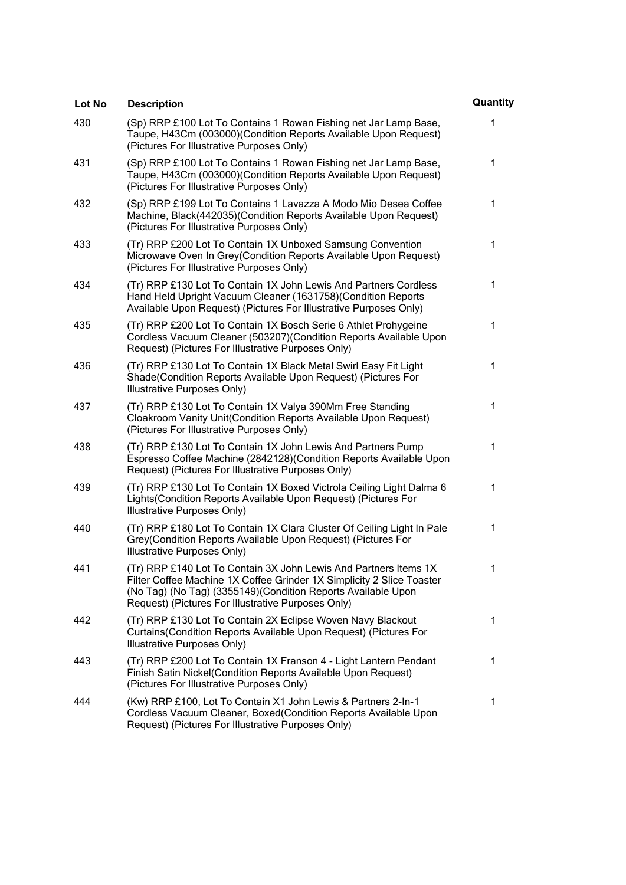| Lot No | <b>Description</b>                                                                                                                                                                                                                                               | Quantity |
|--------|------------------------------------------------------------------------------------------------------------------------------------------------------------------------------------------------------------------------------------------------------------------|----------|
| 430    | (Sp) RRP £100 Lot To Contains 1 Rowan Fishing net Jar Lamp Base,<br>Taupe, H43Cm (003000)(Condition Reports Available Upon Request)<br>(Pictures For Illustrative Purposes Only)                                                                                 | 1        |
| 431    | (Sp) RRP £100 Lot To Contains 1 Rowan Fishing net Jar Lamp Base,<br>Taupe, H43Cm (003000)(Condition Reports Available Upon Request)<br>(Pictures For Illustrative Purposes Only)                                                                                 | 1        |
| 432    | (Sp) RRP £199 Lot To Contains 1 Lavazza A Modo Mio Desea Coffee<br>Machine, Black(442035)(Condition Reports Available Upon Request)<br>(Pictures For Illustrative Purposes Only)                                                                                 | 1        |
| 433    | (Tr) RRP £200 Lot To Contain 1X Unboxed Samsung Convention<br>Microwave Oven In Grey (Condition Reports Available Upon Request)<br>(Pictures For Illustrative Purposes Only)                                                                                     | 1        |
| 434    | (Tr) RRP £130 Lot To Contain 1X John Lewis And Partners Cordless<br>Hand Held Upright Vacuum Cleaner (1631758) (Condition Reports<br>Available Upon Request) (Pictures For Illustrative Purposes Only)                                                           | 1        |
| 435    | (Tr) RRP £200 Lot To Contain 1X Bosch Serie 6 Athlet Prohygeine<br>Cordless Vacuum Cleaner (503207) (Condition Reports Available Upon<br>Request) (Pictures For Illustrative Purposes Only)                                                                      | 1        |
| 436    | (Tr) RRP £130 Lot To Contain 1X Black Metal Swirl Easy Fit Light<br>Shade(Condition Reports Available Upon Request) (Pictures For<br>Illustrative Purposes Only)                                                                                                 | 1        |
| 437    | (Tr) RRP £130 Lot To Contain 1X Valya 390Mm Free Standing<br>Cloakroom Vanity Unit(Condition Reports Available Upon Request)<br>(Pictures For Illustrative Purposes Only)                                                                                        | 1        |
| 438    | (Tr) RRP £130 Lot To Contain 1X John Lewis And Partners Pump<br>Espresso Coffee Machine (2842128) (Condition Reports Available Upon<br>Request) (Pictures For Illustrative Purposes Only)                                                                        | 1        |
| 439    | (Tr) RRP £130 Lot To Contain 1X Boxed Victrola Ceiling Light Dalma 6<br>Lights (Condition Reports Available Upon Request) (Pictures For<br>Illustrative Purposes Only)                                                                                           | 1        |
| 440    | (Tr) RRP £180 Lot To Contain 1X Clara Cluster Of Ceiling Light In Pale<br>Grey(Condition Reports Available Upon Request) (Pictures For<br>Illustrative Purposes Only)                                                                                            | 1        |
| 441    | (Tr) RRP £140 Lot To Contain 3X John Lewis And Partners Items 1X<br>Filter Coffee Machine 1X Coffee Grinder 1X Simplicity 2 Slice Toaster<br>(No Tag) (No Tag) (3355149) (Condition Reports Available Upon<br>Request) (Pictures For Illustrative Purposes Only) | 1        |
| 442    | (Tr) RRP £130 Lot To Contain 2X Eclipse Woven Navy Blackout<br>Curtains(Condition Reports Available Upon Request) (Pictures For<br>Illustrative Purposes Only)                                                                                                   | 1        |
| 443    | (Tr) RRP £200 Lot To Contain 1X Franson 4 - Light Lantern Pendant<br>Finish Satin Nickel(Condition Reports Available Upon Request)<br>(Pictures For Illustrative Purposes Only)                                                                                  | 1        |
| 444    | (Kw) RRP £100, Lot To Contain X1 John Lewis & Partners 2-In-1<br>Cordless Vacuum Cleaner, Boxed(Condition Reports Available Upon<br>Request) (Pictures For Illustrative Purposes Only)                                                                           | 1        |